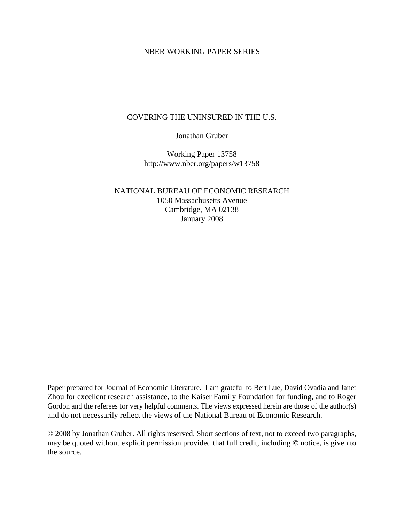## NBER WORKING PAPER SERIES

# COVERING THE UNINSURED IN THE U.S.

Jonathan Gruber

Working Paper 13758 http://www.nber.org/papers/w13758

NATIONAL BUREAU OF ECONOMIC RESEARCH 1050 Massachusetts Avenue Cambridge, MA 02138 January 2008

Paper prepared for Journal of Economic Literature. I am grateful to Bert Lue, David Ovadia and Janet Zhou for excellent research assistance, to the Kaiser Family Foundation for funding, and to Roger Gordon and the referees for very helpful comments. The views expressed herein are those of the author(s) and do not necessarily reflect the views of the National Bureau of Economic Research.

© 2008 by Jonathan Gruber. All rights reserved. Short sections of text, not to exceed two paragraphs, may be quoted without explicit permission provided that full credit, including © notice, is given to the source.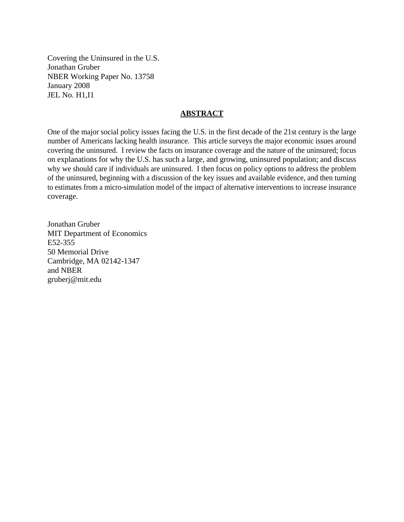Covering the Uninsured in the U.S. Jonathan Gruber NBER Working Paper No. 13758 January 2008 JEL No. H1,I1

# **ABSTRACT**

One of the major social policy issues facing the U.S. in the first decade of the 21st century is the large number of Americans lacking health insurance. This article surveys the major economic issues around covering the uninsured. I review the facts on insurance coverage and the nature of the uninsured; focus on explanations for why the U.S. has such a large, and growing, uninsured population; and discuss why we should care if individuals are uninsured. I then focus on policy options to address the problem of the uninsured, beginning with a discussion of the key issues and available evidence, and then turning to estimates from a micro-simulation model of the impact of alternative interventions to increase insurance coverage.

Jonathan Gruber MIT Department of Economics E52-355 50 Memorial Drive Cambridge, MA 02142-1347 and NBER gruberj@mit.edu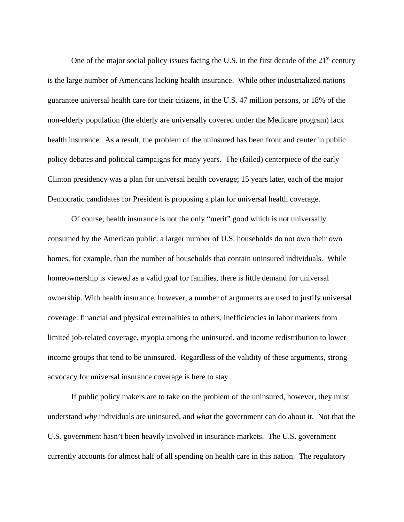One of the major social policy issues facing the U.S. in the first decade of the  $21<sup>st</sup>$  century is the large number of Americans lacking health insurance. While other industrialized nations guarantee universal health care for their citizens, in the U.S. 47 million persons, or 18% of the non-elderly population (the elderly are universally covered under the Medicare program) lack health insurance. As a result, the problem of the uninsured has been front and center in public policy debates and political campaigns for many years. The (failed) centerpiece of the early Clinton presidency was a plan for universal health coverage; 15 years later, each of the major Democratic candidates for President is proposing a plan for universal health coverage.

 Of course, health insurance is not the only "merit" good which is not universally consumed by the American public: a larger number of U.S. households do not own their own homes, for example, than the number of households that contain uninsured individuals. While homeownership is viewed as a valid goal for families, there is little demand for universal ownership. With health insurance, however, a number of arguments are used to justify universal coverage: financial and physical externalities to others, inefficiencies in labor markets from limited job-related coverage, myopia among the uninsured, and income redistribution to lower income groups that tend to be uninsured. Regardless of the validity of these arguments, strong advocacy for universal insurance coverage is here to stay.

 If public policy makers are to take on the problem of the uninsured, however, they must understand *why* individuals are uninsured, and *what* the government can do about it. Not that the U.S. government hasn't been heavily involved in insurance markets. The U.S. government currently accounts for almost half of all spending on health care in this nation. The regulatory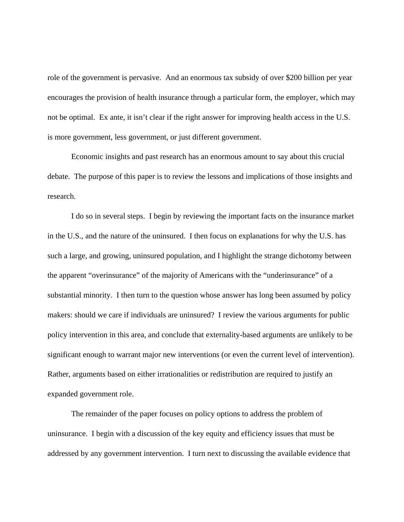role of the government is pervasive. And an enormous tax subsidy of over \$200 billion per year encourages the provision of health insurance through a particular form, the employer, which may not be optimal. Ex ante, it isn't clear if the right answer for improving health access in the U.S. is more government, less government, or just different government.

 Economic insights and past research has an enormous amount to say about this crucial debate. The purpose of this paper is to review the lessons and implications of those insights and research.

 I do so in several steps. I begin by reviewing the important facts on the insurance market in the U.S., and the nature of the uninsured. I then focus on explanations for why the U.S. has such a large, and growing, uninsured population, and I highlight the strange dichotomy between the apparent "overinsurance" of the majority of Americans with the "underinsurance" of a substantial minority. I then turn to the question whose answer has long been assumed by policy makers: should we care if individuals are uninsured? I review the various arguments for public policy intervention in this area, and conclude that externality-based arguments are unlikely to be significant enough to warrant major new interventions (or even the current level of intervention). Rather, arguments based on either irrationalities or redistribution are required to justify an expanded government role.

 The remainder of the paper focuses on policy options to address the problem of uninsurance. I begin with a discussion of the key equity and efficiency issues that must be addressed by any government intervention. I turn next to discussing the available evidence that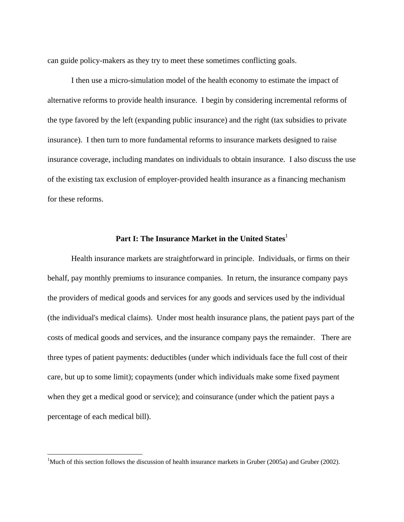can guide policy-makers as they try to meet these sometimes conflicting goals.

 I then use a micro-simulation model of the health economy to estimate the impact of alternative reforms to provide health insurance. I begin by considering incremental reforms of the type favored by the left (expanding public insurance) and the right (tax subsidies to private insurance). I then turn to more fundamental reforms to insurance markets designed to raise insurance coverage, including mandates on individuals to obtain insurance. I also discuss the use of the existing tax exclusion of employer-provided health insurance as a financing mechanism for these reforms.

#### **Part I: The Insurance Market in the United States**

 Health insurance markets are straightforward in principle. Individuals, or firms on their behalf, pay monthly premiums to insurance companies. In return, the insurance company pays the providers of medical goods and services for any goods and services used by the individual (the individual's medical claims). Under most health insurance plans, the patient pays part of the costs of medical goods and services, and the insurance company pays the remainder. There are three types of patient payments: deductibles (under which individuals face the full cost of their care, but up to some limit); copayments (under which individuals make some fixed payment when they get a medical good or service); and coinsurance (under which the patient pays a percentage of each medical bill).

 $\overline{a}$ 

<sup>&</sup>lt;sup>1</sup>Much of this section follows the discussion of health insurance markets in Gruber (2005a) and Gruber (2002).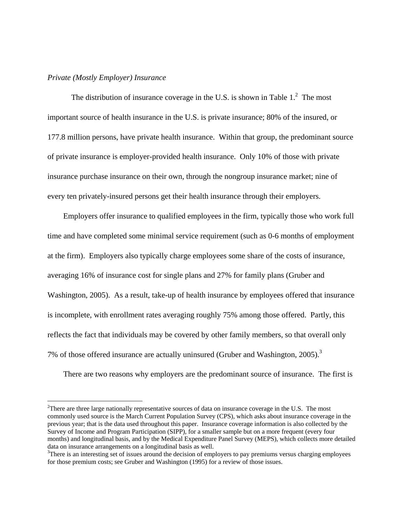### *Private (Mostly Employer) Insurance*

 $\overline{a}$ 

The distribution of insurance coverage in the U.S. is shown in Table  $1<sup>2</sup>$ . The most important source of health insurance in the U.S. is private insurance; 80% of the insured, or 177.8 million persons, have private health insurance. Within that group, the predominant source of private insurance is employer-provided health insurance. Only 10% of those with private insurance purchase insurance on their own, through the nongroup insurance market; nine of every ten privately-insured persons get their health insurance through their employers.

 Employers offer insurance to qualified employees in the firm, typically those who work full time and have completed some minimal service requirement (such as 0-6 months of employment at the firm). Employers also typically charge employees some share of the costs of insurance, averaging 16% of insurance cost for single plans and 27% for family plans (Gruber and Washington, 2005). As a result, take-up of health insurance by employees offered that insurance is incomplete, with enrollment rates averaging roughly 75% among those offered. Partly, this reflects the fact that individuals may be covered by other family members, so that overall only 7% of those offered insurance are actually uninsured (Gruber and Washington, 2005).<sup>3</sup>

There are two reasons why employers are the predominant source of insurance. The first is

<sup>&</sup>lt;sup>2</sup>There are three large nationally representative sources of data on insurance coverage in the U.S. The most commonly used source is the March Current Population Survey (CPS), which asks about insurance coverage in the previous year; that is the data used throughout this paper. Insurance coverage information is also collected by the Survey of Income and Program Participation (SIPP), for a smaller sample but on a more frequent (every four months) and longitudinal basis, and by the Medical Expenditure Panel Survey (MEPS), which collects more detailed data on insurance arrangements on a longitudinal basis as well.

<sup>&</sup>lt;sup>3</sup>There is an interesting set of issues around the decision of employers to pay premiums versus charging employees for those premium costs; see Gruber and Washington (1995) for a review of those issues.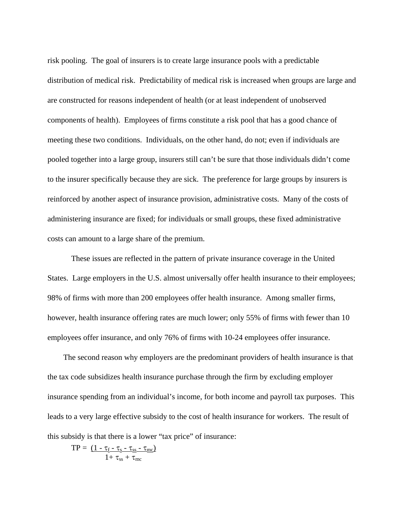risk pooling. The goal of insurers is to create large insurance pools with a predictable distribution of medical risk. Predictability of medical risk is increased when groups are large and are constructed for reasons independent of health (or at least independent of unobserved components of health). Employees of firms constitute a risk pool that has a good chance of meeting these two conditions. Individuals, on the other hand, do not; even if individuals are pooled together into a large group, insurers still can't be sure that those individuals didn't come to the insurer specifically because they are sick. The preference for large groups by insurers is reinforced by another aspect of insurance provision, administrative costs. Many of the costs of administering insurance are fixed; for individuals or small groups, these fixed administrative costs can amount to a large share of the premium.

 These issues are reflected in the pattern of private insurance coverage in the United States. Large employers in the U.S. almost universally offer health insurance to their employees; 98% of firms with more than 200 employees offer health insurance. Among smaller firms, however, health insurance offering rates are much lower; only 55% of firms with fewer than 10 employees offer insurance, and only 76% of firms with 10-24 employees offer insurance.

 The second reason why employers are the predominant providers of health insurance is that the tax code subsidizes health insurance purchase through the firm by excluding employer insurance spending from an individual's income, for both income and payroll tax purposes. This leads to a very large effective subsidy to the cost of health insurance for workers. The result of this subsidy is that there is a lower "tax price" of insurance:

 $TP = (1 - \tau_f - \tau_s - \tau_{ss} - \tau_{mc})$  $1+\tau_{ss}+\tau_{mc}$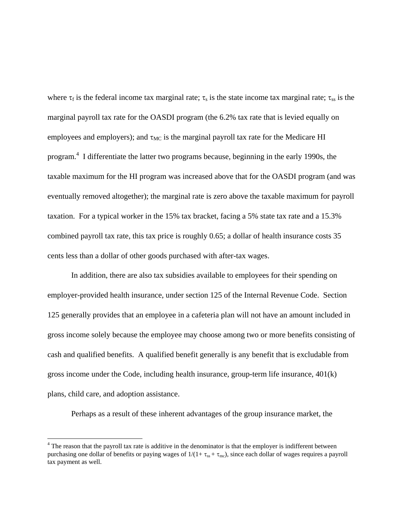where  $\tau_f$  is the federal income tax marginal rate;  $\tau_s$  is the state income tax marginal rate;  $\tau_{ss}$  is the marginal payroll tax rate for the OASDI program (the 6.2% tax rate that is levied equally on employees and employers); and  $\tau_{MC}$  is the marginal payroll tax rate for the Medicare HI program.<sup>4</sup> I differentiate the latter two programs because, beginning in the early 1990s, the taxable maximum for the HI program was increased above that for the OASDI program (and was eventually removed altogether); the marginal rate is zero above the taxable maximum for payroll taxation. For a typical worker in the 15% tax bracket, facing a 5% state tax rate and a 15.3% combined payroll tax rate, this tax price is roughly 0.65; a dollar of health insurance costs 35 cents less than a dollar of other goods purchased with after-tax wages.

 In addition, there are also tax subsidies available to employees for their spending on employer-provided health insurance, under section 125 of the Internal Revenue Code. Section 125 generally provides that an employee in a cafeteria plan will not have an amount included in gross income solely because the employee may choose among two or more benefits consisting of cash and qualified benefits. A qualified benefit generally is any benefit that is excludable from gross income under the Code, including health insurance, group-term life insurance, 401(k) plans, child care, and adoption assistance.

Perhaps as a result of these inherent advantages of the group insurance market, the

 $\overline{a}$ 

 $4$  The reason that the payroll tax rate is additive in the denominator is that the employer is indifferent between purchasing one dollar of benefits or paying wages of  $1/(1+\tau_{ss}+\tau_{mc})$ , since each dollar of wages requires a payroll tax payment as well.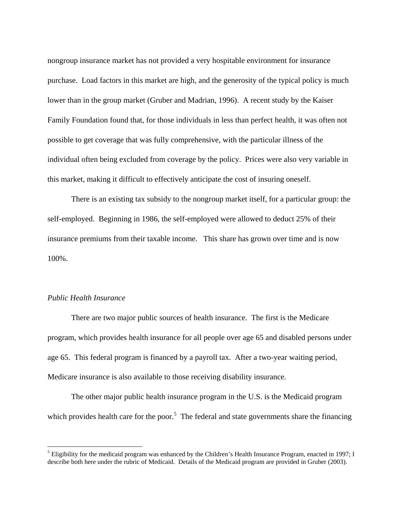nongroup insurance market has not provided a very hospitable environment for insurance purchase. Load factors in this market are high, and the generosity of the typical policy is much lower than in the group market (Gruber and Madrian, 1996). A recent study by the Kaiser Family Foundation found that, for those individuals in less than perfect health, it was often not possible to get coverage that was fully comprehensive, with the particular illness of the individual often being excluded from coverage by the policy. Prices were also very variable in this market, making it difficult to effectively anticipate the cost of insuring oneself.

 There is an existing tax subsidy to the nongroup market itself, for a particular group: the self-employed. Beginning in 1986, the self-employed were allowed to deduct 25% of their insurance premiums from their taxable income. This share has grown over time and is now 100%.

### *Public Health Insurance*

 $\overline{a}$ 

 There are two major public sources of health insurance. The first is the Medicare program, which provides health insurance for all people over age 65 and disabled persons under age 65. This federal program is financed by a payroll tax. After a two-year waiting period, Medicare insurance is also available to those receiving disability insurance.

 The other major public health insurance program in the U.S. is the Medicaid program which provides health care for the poor.<sup>5</sup> The federal and state governments share the financing

<sup>&</sup>lt;sup>5</sup> Eligibility for the medicaid program was enhanced by the Children's Health Insurance Program, enacted in 1997; I describe both here under the rubric of Medicaid. Details of the Medicaid program are provided in Gruber (2003).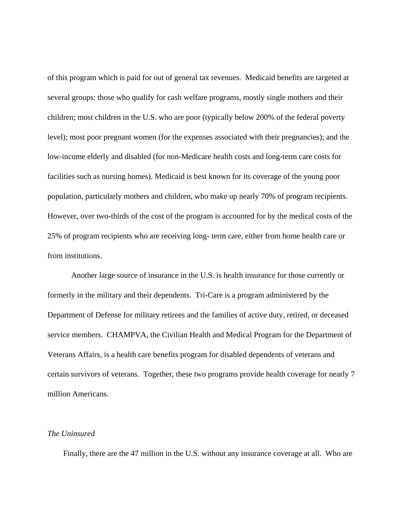of this program which is paid for out of general tax revenues. Medicaid benefits are targeted at several groups: those who qualify for cash welfare programs, mostly single mothers and their children; most children in the U.S. who are poor (typically below 200% of the federal poverty level); most poor pregnant women (for the expenses associated with their pregnancies); and the low-income elderly and disabled (for non-Medicare health costs and long-term care costs for facilities such as nursing homes). Medicaid is best known for its coverage of the young poor population, particularly mothers and children, who make up nearly 70% of program recipients. However, over two-thirds of the cost of the program is accounted for by the medical costs of the 25% of program recipients who are receiving long- term care, either from home health care or from institutions.

 Another large source of insurance in the U.S. is health insurance for those currently or formerly in the military and their dependents. Tri-Care is a program administered by the Department of Defense for military retirees and the families of active duty, retired, or deceased service members. CHAMPVA, the Civilian Health and Medical Program for the Department of Veterans Affairs, is a health care benefits program for disabled dependents of veterans and certain survivors of veterans. Together, these two programs provide health coverage for nearly 7 million Americans.

# *The Uninsured*

Finally, there are the 47 million in the U.S. without any insurance coverage at all. Who are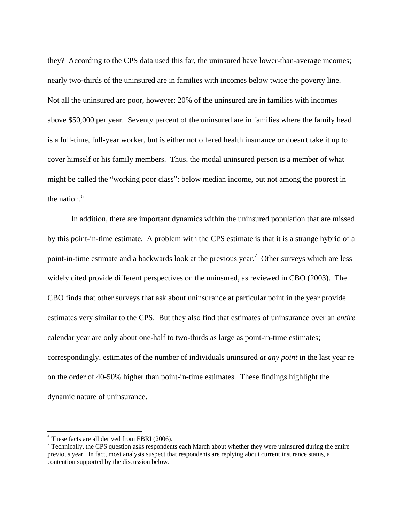they? According to the CPS data used this far, the uninsured have lower-than-average incomes; nearly two-thirds of the uninsured are in families with incomes below twice the poverty line. Not all the uninsured are poor, however: 20% of the uninsured are in families with incomes above \$50,000 per year. Seventy percent of the uninsured are in families where the family head is a full-time, full-year worker, but is either not offered health insurance or doesn't take it up to cover himself or his family members. Thus, the modal uninsured person is a member of what might be called the "working poor class": below median income, but not among the poorest in the nation. $6$ 

 In addition, there are important dynamics within the uninsured population that are missed by this point-in-time estimate. A problem with the CPS estimate is that it is a strange hybrid of a point-in-time estimate and a backwards look at the previous year.<sup>7</sup> Other surveys which are less widely cited provide different perspectives on the uninsured, as reviewed in CBO (2003). The CBO finds that other surveys that ask about uninsurance at particular point in the year provide estimates very similar to the CPS. But they also find that estimates of uninsurance over an *entire* calendar year are only about one-half to two-thirds as large as point-in-time estimates; correspondingly, estimates of the number of individuals uninsured *at any point* in the last year re on the order of 40-50% higher than point-in-time estimates. These findings highlight the dynamic nature of uninsurance.

 $\overline{a}$ 

<sup>6</sup> These facts are all derived from EBRI (2006).

 $<sup>7</sup>$  Technically, the CPS question asks respondents each March about whether they were uninsured during the entire</sup> previous year. In fact, most analysts suspect that respondents are replying about current insurance status, a contention supported by the discussion below.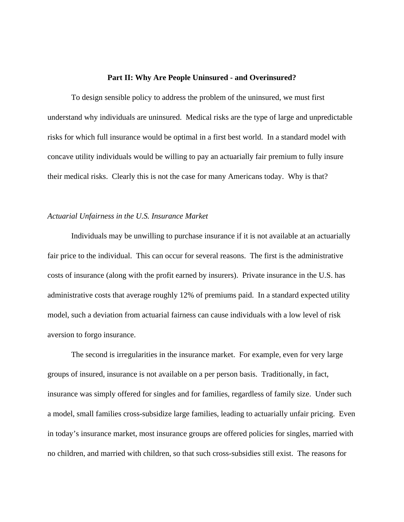#### **Part II: Why Are People Uninsured - and Overinsured?**

 To design sensible policy to address the problem of the uninsured, we must first understand why individuals are uninsured. Medical risks are the type of large and unpredictable risks for which full insurance would be optimal in a first best world. In a standard model with concave utility individuals would be willing to pay an actuarially fair premium to fully insure their medical risks. Clearly this is not the case for many Americans today. Why is that?

### *Actuarial Unfairness in the U.S. Insurance Market*

 Individuals may be unwilling to purchase insurance if it is not available at an actuarially fair price to the individual. This can occur for several reasons. The first is the administrative costs of insurance (along with the profit earned by insurers). Private insurance in the U.S. has administrative costs that average roughly 12% of premiums paid. In a standard expected utility model, such a deviation from actuarial fairness can cause individuals with a low level of risk aversion to forgo insurance.

 The second is irregularities in the insurance market. For example, even for very large groups of insured, insurance is not available on a per person basis. Traditionally, in fact, insurance was simply offered for singles and for families, regardless of family size. Under such a model, small families cross-subsidize large families, leading to actuarially unfair pricing. Even in today's insurance market, most insurance groups are offered policies for singles, married with no children, and married with children, so that such cross-subsidies still exist. The reasons for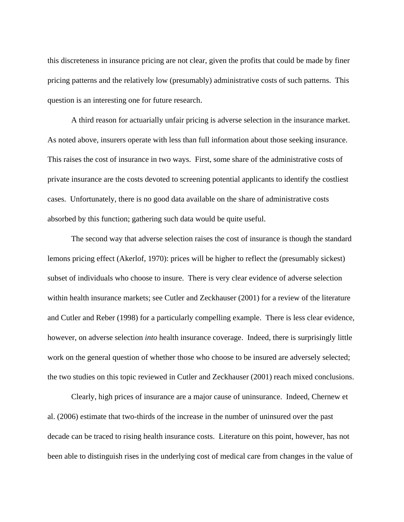this discreteness in insurance pricing are not clear, given the profits that could be made by finer pricing patterns and the relatively low (presumably) administrative costs of such patterns. This question is an interesting one for future research.

 A third reason for actuarially unfair pricing is adverse selection in the insurance market. As noted above, insurers operate with less than full information about those seeking insurance. This raises the cost of insurance in two ways. First, some share of the administrative costs of private insurance are the costs devoted to screening potential applicants to identify the costliest cases. Unfortunately, there is no good data available on the share of administrative costs absorbed by this function; gathering such data would be quite useful.

 The second way that adverse selection raises the cost of insurance is though the standard lemons pricing effect (Akerlof, 1970): prices will be higher to reflect the (presumably sickest) subset of individuals who choose to insure. There is very clear evidence of adverse selection within health insurance markets; see Cutler and Zeckhauser (2001) for a review of the literature and Cutler and Reber (1998) for a particularly compelling example. There is less clear evidence, however, on adverse selection *into* health insurance coverage. Indeed, there is surprisingly little work on the general question of whether those who choose to be insured are adversely selected; the two studies on this topic reviewed in Cutler and Zeckhauser (2001) reach mixed conclusions.

 Clearly, high prices of insurance are a major cause of uninsurance. Indeed, Chernew et al. (2006) estimate that two-thirds of the increase in the number of uninsured over the past decade can be traced to rising health insurance costs. Literature on this point, however, has not been able to distinguish rises in the underlying cost of medical care from changes in the value of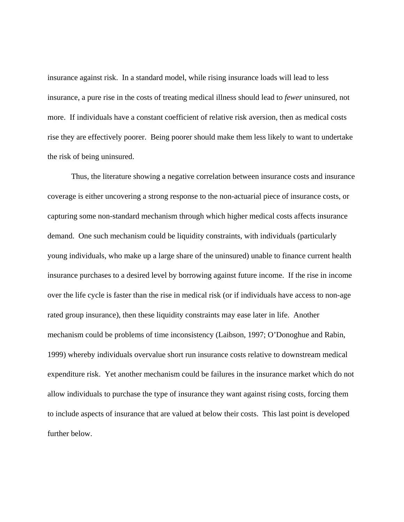insurance against risk. In a standard model, while rising insurance loads will lead to less insurance, a pure rise in the costs of treating medical illness should lead to *fewer* uninsured, not more. If individuals have a constant coefficient of relative risk aversion, then as medical costs rise they are effectively poorer. Being poorer should make them less likely to want to undertake the risk of being uninsured.

 Thus, the literature showing a negative correlation between insurance costs and insurance coverage is either uncovering a strong response to the non-actuarial piece of insurance costs, or capturing some non-standard mechanism through which higher medical costs affects insurance demand. One such mechanism could be liquidity constraints, with individuals (particularly young individuals, who make up a large share of the uninsured) unable to finance current health insurance purchases to a desired level by borrowing against future income. If the rise in income over the life cycle is faster than the rise in medical risk (or if individuals have access to non-age rated group insurance), then these liquidity constraints may ease later in life. Another mechanism could be problems of time inconsistency (Laibson, 1997; O'Donoghue and Rabin, 1999) whereby individuals overvalue short run insurance costs relative to downstream medical expenditure risk. Yet another mechanism could be failures in the insurance market which do not allow individuals to purchase the type of insurance they want against rising costs, forcing them to include aspects of insurance that are valued at below their costs. This last point is developed further below.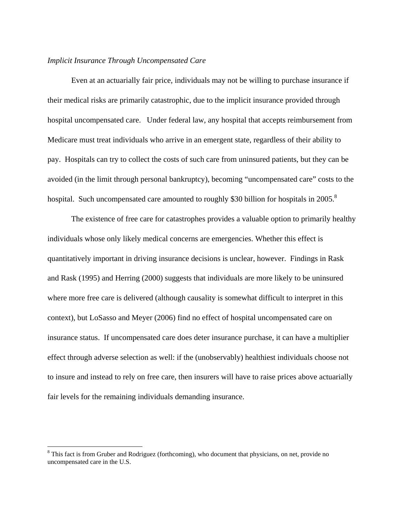### *Implicit Insurance Through Uncompensated Care*

 Even at an actuarially fair price, individuals may not be willing to purchase insurance if their medical risks are primarily catastrophic, due to the implicit insurance provided through hospital uncompensated care. Under federal law, any hospital that accepts reimbursement from Medicare must treat individuals who arrive in an emergent state, regardless of their ability to pay. Hospitals can try to collect the costs of such care from uninsured patients, but they can be avoided (in the limit through personal bankruptcy), becoming "uncompensated care" costs to the hospital. Such uncompensated care amounted to roughly \$30 billion for hospitals in 2005.<sup>8</sup>

 The existence of free care for catastrophes provides a valuable option to primarily healthy individuals whose only likely medical concerns are emergencies. Whether this effect is quantitatively important in driving insurance decisions is unclear, however. Findings in Rask and Rask (1995) and Herring (2000) suggests that individuals are more likely to be uninsured where more free care is delivered (although causality is somewhat difficult to interpret in this context), but LoSasso and Meyer (2006) find no effect of hospital uncompensated care on insurance status. If uncompensated care does deter insurance purchase, it can have a multiplier effect through adverse selection as well: if the (unobservably) healthiest individuals choose not to insure and instead to rely on free care, then insurers will have to raise prices above actuarially fair levels for the remaining individuals demanding insurance.

 $\overline{a}$ 

<sup>&</sup>lt;sup>8</sup> This fact is from Gruber and Rodriguez (forthcoming), who document that physicians, on net, provide no uncompensated care in the U.S.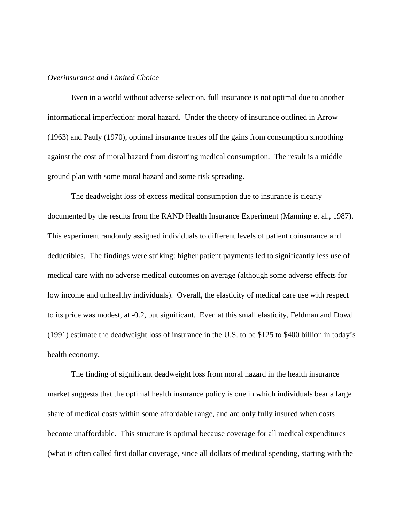# *Overinsurance and Limited Choice*

 Even in a world without adverse selection, full insurance is not optimal due to another informational imperfection: moral hazard. Under the theory of insurance outlined in Arrow (1963) and Pauly (1970), optimal insurance trades off the gains from consumption smoothing against the cost of moral hazard from distorting medical consumption. The result is a middle ground plan with some moral hazard and some risk spreading.

 The deadweight loss of excess medical consumption due to insurance is clearly documented by the results from the RAND Health Insurance Experiment (Manning et al., 1987). This experiment randomly assigned individuals to different levels of patient coinsurance and deductibles. The findings were striking: higher patient payments led to significantly less use of medical care with no adverse medical outcomes on average (although some adverse effects for low income and unhealthy individuals). Overall, the elasticity of medical care use with respect to its price was modest, at -0.2, but significant. Even at this small elasticity, Feldman and Dowd (1991) estimate the deadweight loss of insurance in the U.S. to be \$125 to \$400 billion in today's health economy.

 The finding of significant deadweight loss from moral hazard in the health insurance market suggests that the optimal health insurance policy is one in which individuals bear a large share of medical costs within some affordable range, and are only fully insured when costs become unaffordable. This structure is optimal because coverage for all medical expenditures (what is often called first dollar coverage, since all dollars of medical spending, starting with the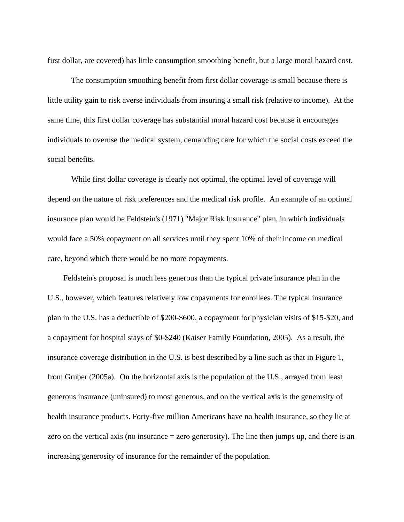first dollar, are covered) has little consumption smoothing benefit, but a large moral hazard cost.

 The consumption smoothing benefit from first dollar coverage is small because there is little utility gain to risk averse individuals from insuring a small risk (relative to income). At the same time, this first dollar coverage has substantial moral hazard cost because it encourages individuals to overuse the medical system, demanding care for which the social costs exceed the social benefits.

 While first dollar coverage is clearly not optimal, the optimal level of coverage will depend on the nature of risk preferences and the medical risk profile. An example of an optimal insurance plan would be Feldstein's (1971) "Major Risk Insurance" plan, in which individuals would face a 50% copayment on all services until they spent 10% of their income on medical care, beyond which there would be no more copayments.

 Feldstein's proposal is much less generous than the typical private insurance plan in the U.S., however, which features relatively low copayments for enrollees. The typical insurance plan in the U.S. has a deductible of \$200-\$600, a copayment for physician visits of \$15-\$20, and a copayment for hospital stays of \$0-\$240 (Kaiser Family Foundation, 2005). As a result, the insurance coverage distribution in the U.S. is best described by a line such as that in Figure 1, from Gruber (2005a). On the horizontal axis is the population of the U.S., arrayed from least generous insurance (uninsured) to most generous, and on the vertical axis is the generosity of health insurance products. Forty-five million Americans have no health insurance, so they lie at zero on the vertical axis (no insurance  $=$  zero generosity). The line then jumps up, and there is an increasing generosity of insurance for the remainder of the population.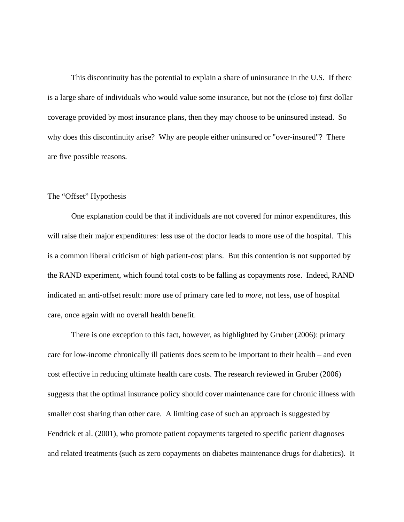This discontinuity has the potential to explain a share of uninsurance in the U.S. If there is a large share of individuals who would value some insurance, but not the (close to) first dollar coverage provided by most insurance plans, then they may choose to be uninsured instead. So why does this discontinuity arise? Why are people either uninsured or "over-insured"? There are five possible reasons.

#### The "Offset" Hypothesis

 One explanation could be that if individuals are not covered for minor expenditures, this will raise their major expenditures: less use of the doctor leads to more use of the hospital. This is a common liberal criticism of high patient-cost plans. But this contention is not supported by the RAND experiment, which found total costs to be falling as copayments rose. Indeed, RAND indicated an anti-offset result: more use of primary care led to *more*, not less, use of hospital care, once again with no overall health benefit.

 There is one exception to this fact, however, as highlighted by Gruber (2006): primary care for low-income chronically ill patients does seem to be important to their health – and even cost effective in reducing ultimate health care costs. The research reviewed in Gruber (2006) suggests that the optimal insurance policy should cover maintenance care for chronic illness with smaller cost sharing than other care. A limiting case of such an approach is suggested by Fendrick et al. (2001), who promote patient copayments targeted to specific patient diagnoses and related treatments (such as zero copayments on diabetes maintenance drugs for diabetics). It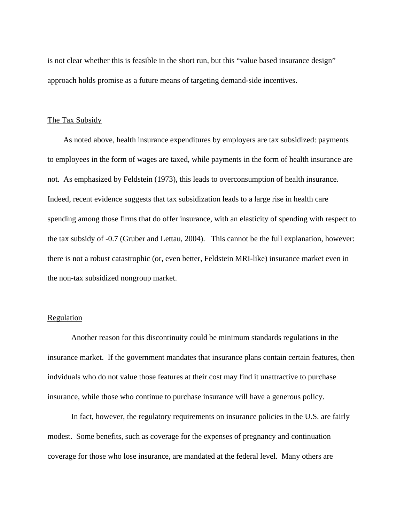is not clear whether this is feasible in the short run, but this "value based insurance design" approach holds promise as a future means of targeting demand-side incentives.

#### The Tax Subsidy

 As noted above, health insurance expenditures by employers are tax subsidized: payments to employees in the form of wages are taxed, while payments in the form of health insurance are not. As emphasized by Feldstein (1973), this leads to overconsumption of health insurance. Indeed, recent evidence suggests that tax subsidization leads to a large rise in health care spending among those firms that do offer insurance, with an elasticity of spending with respect to the tax subsidy of -0.7 (Gruber and Lettau, 2004). This cannot be the full explanation, however: there is not a robust catastrophic (or, even better, Feldstein MRI-like) insurance market even in the non-tax subsidized nongroup market.

#### **Regulation**

 Another reason for this discontinuity could be minimum standards regulations in the insurance market. If the government mandates that insurance plans contain certain features, then indviduals who do not value those features at their cost may find it unattractive to purchase insurance, while those who continue to purchase insurance will have a generous policy.

 In fact, however, the regulatory requirements on insurance policies in the U.S. are fairly modest. Some benefits, such as coverage for the expenses of pregnancy and continuation coverage for those who lose insurance, are mandated at the federal level. Many others are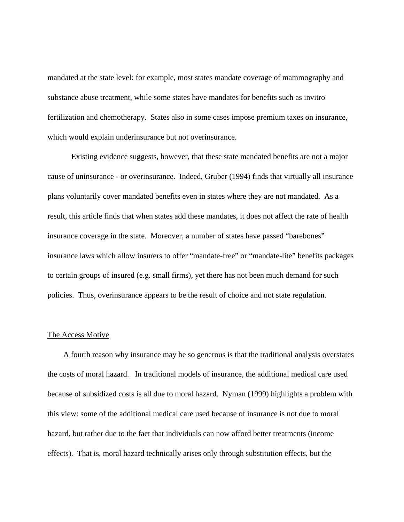mandated at the state level: for example, most states mandate coverage of mammography and substance abuse treatment, while some states have mandates for benefits such as invitro fertilization and chemotherapy. States also in some cases impose premium taxes on insurance, which would explain underinsurance but not overinsurance.

 Existing evidence suggests, however, that these state mandated benefits are not a major cause of uninsurance - or overinsurance. Indeed, Gruber (1994) finds that virtually all insurance plans voluntarily cover mandated benefits even in states where they are not mandated. As a result, this article finds that when states add these mandates, it does not affect the rate of health insurance coverage in the state. Moreover, a number of states have passed "barebones" insurance laws which allow insurers to offer "mandate-free" or "mandate-lite" benefits packages to certain groups of insured (e.g. small firms), yet there has not been much demand for such policies. Thus, overinsurance appears to be the result of choice and not state regulation.

#### The Access Motive

 A fourth reason why insurance may be so generous is that the traditional analysis overstates the costs of moral hazard. In traditional models of insurance, the additional medical care used because of subsidized costs is all due to moral hazard. Nyman (1999) highlights a problem with this view: some of the additional medical care used because of insurance is not due to moral hazard, but rather due to the fact that individuals can now afford better treatments (income effects). That is, moral hazard technically arises only through substitution effects, but the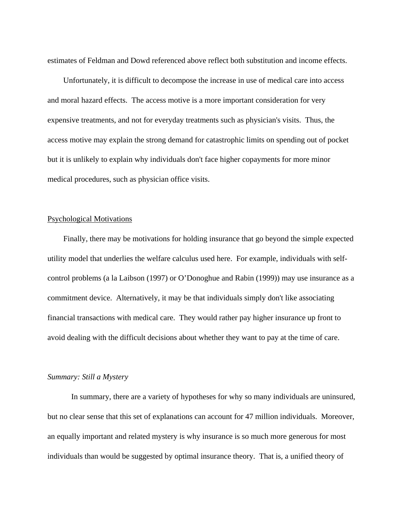estimates of Feldman and Dowd referenced above reflect both substitution and income effects.

 Unfortunately, it is difficult to decompose the increase in use of medical care into access and moral hazard effects. The access motive is a more important consideration for very expensive treatments, and not for everyday treatments such as physician's visits. Thus, the access motive may explain the strong demand for catastrophic limits on spending out of pocket but it is unlikely to explain why individuals don't face higher copayments for more minor medical procedures, such as physician office visits.

#### Psychological Motivations

 Finally, there may be motivations for holding insurance that go beyond the simple expected utility model that underlies the welfare calculus used here. For example, individuals with selfcontrol problems (a la Laibson (1997) or O'Donoghue and Rabin (1999)) may use insurance as a commitment device. Alternatively, it may be that individuals simply don't like associating financial transactions with medical care. They would rather pay higher insurance up front to avoid dealing with the difficult decisions about whether they want to pay at the time of care.

# *Summary: Still a Mystery*

 In summary, there are a variety of hypotheses for why so many individuals are uninsured, but no clear sense that this set of explanations can account for 47 million individuals. Moreover, an equally important and related mystery is why insurance is so much more generous for most individuals than would be suggested by optimal insurance theory. That is, a unified theory of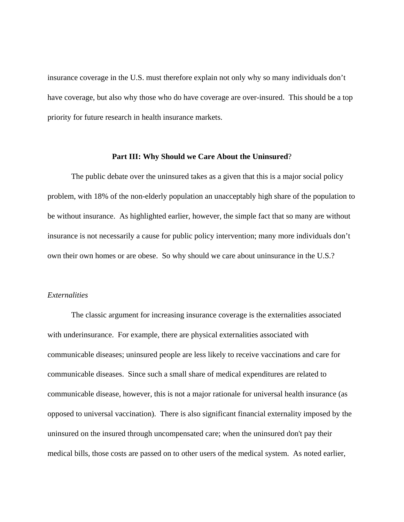insurance coverage in the U.S. must therefore explain not only why so many individuals don't have coverage, but also why those who do have coverage are over-insured. This should be a top priority for future research in health insurance markets.

#### **Part III: Why Should we Care About the Uninsured**?

 The public debate over the uninsured takes as a given that this is a major social policy problem, with 18% of the non-elderly population an unacceptably high share of the population to be without insurance. As highlighted earlier, however, the simple fact that so many are without insurance is not necessarily a cause for public policy intervention; many more individuals don't own their own homes or are obese. So why should we care about uninsurance in the U.S.?

# *Externalities*

 The classic argument for increasing insurance coverage is the externalities associated with underinsurance. For example, there are physical externalities associated with communicable diseases; uninsured people are less likely to receive vaccinations and care for communicable diseases. Since such a small share of medical expenditures are related to communicable disease, however, this is not a major rationale for universal health insurance (as opposed to universal vaccination). There is also significant financial externality imposed by the uninsured on the insured through uncompensated care; when the uninsured don't pay their medical bills, those costs are passed on to other users of the medical system. As noted earlier,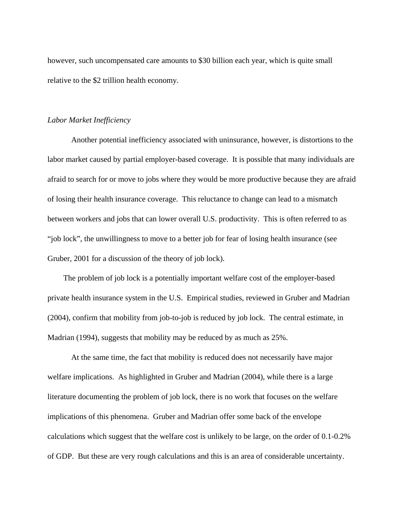however, such uncompensated care amounts to \$30 billion each year, which is quite small relative to the \$2 trillion health economy.

### *Labor Market Inefficiency*

 Another potential inefficiency associated with uninsurance, however, is distortions to the labor market caused by partial employer-based coverage. It is possible that many individuals are afraid to search for or move to jobs where they would be more productive because they are afraid of losing their health insurance coverage. This reluctance to change can lead to a mismatch between workers and jobs that can lower overall U.S. productivity. This is often referred to as "job lock", the unwillingness to move to a better job for fear of losing health insurance (see Gruber, 2001 for a discussion of the theory of job lock).

 The problem of job lock is a potentially important welfare cost of the employer-based private health insurance system in the U.S. Empirical studies, reviewed in Gruber and Madrian (2004), confirm that mobility from job-to-job is reduced by job lock. The central estimate, in Madrian (1994), suggests that mobility may be reduced by as much as 25%.

 At the same time, the fact that mobility is reduced does not necessarily have major welfare implications. As highlighted in Gruber and Madrian (2004), while there is a large literature documenting the problem of job lock, there is no work that focuses on the welfare implications of this phenomena. Gruber and Madrian offer some back of the envelope calculations which suggest that the welfare cost is unlikely to be large, on the order of 0.1-0.2% of GDP. But these are very rough calculations and this is an area of considerable uncertainty.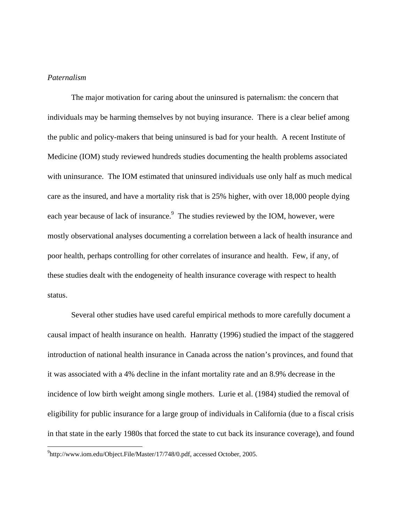# *Paternalism*

 $\overline{a}$ 

 The major motivation for caring about the uninsured is paternalism: the concern that individuals may be harming themselves by not buying insurance. There is a clear belief among the public and policy-makers that being uninsured is bad for your health. A recent Institute of Medicine (IOM) study reviewed hundreds studies documenting the health problems associated with uninsurance. The IOM estimated that uninsured individuals use only half as much medical care as the insured, and have a mortality risk that is 25% higher, with over 18,000 people dying each year because of lack of insurance. The studies reviewed by the IOM, however, were mostly observational analyses documenting a correlation between a lack of health insurance and poor health, perhaps controlling for other correlates of insurance and health. Few, if any, of these studies dealt with the endogeneity of health insurance coverage with respect to health status.

 Several other studies have used careful empirical methods to more carefully document a causal impact of health insurance on health. Hanratty (1996) studied the impact of the staggered introduction of national health insurance in Canada across the nation's provinces, and found that it was associated with a 4% decline in the infant mortality rate and an 8.9% decrease in the incidence of low birth weight among single mothers. Lurie et al. (1984) studied the removal of eligibility for public insurance for a large group of individuals in California (due to a fiscal crisis in that state in the early 1980s that forced the state to cut back its insurance coverage), and found

<sup>9</sup> http://www.iom.edu/Object.File/Master/17/748/0.pdf, accessed October, 2005.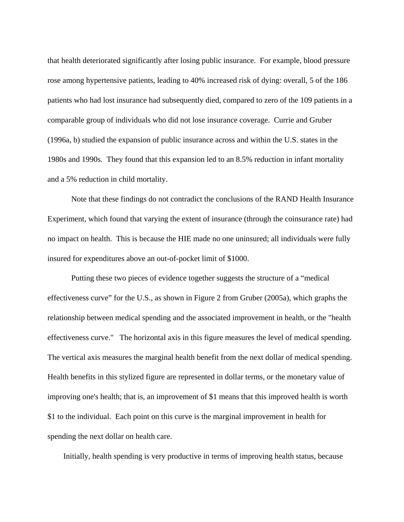that health deteriorated significantly after losing public insurance. For example, blood pressure rose among hypertensive patients, leading to 40% increased risk of dying: overall, 5 of the 186 patients who had lost insurance had subsequently died, compared to zero of the 109 patients in a comparable group of individuals who did not lose insurance coverage. Currie and Gruber (1996a, b) studied the expansion of public insurance across and within the U.S. states in the 1980s and 1990s. They found that this expansion led to an 8.5% reduction in infant mortality and a 5% reduction in child mortality.

 Note that these findings do not contradict the conclusions of the RAND Health Insurance Experiment, which found that varying the extent of insurance (through the coinsurance rate) had no impact on health. This is because the HIE made no one uninsured; all individuals were fully insured for expenditures above an out-of-pocket limit of \$1000.

 Putting these two pieces of evidence together suggests the structure of a "medical effectiveness curve" for the U.S., as shown in Figure 2 from Gruber (2005a), which graphs the relationship between medical spending and the associated improvement in health, or the "health effectiveness curve." The horizontal axis in this figure measures the level of medical spending. The vertical axis measures the marginal health benefit from the next dollar of medical spending. Health benefits in this stylized figure are represented in dollar terms, or the monetary value of improving one's health; that is, an improvement of \$1 means that this improved health is worth \$1 to the individual. Each point on this curve is the marginal improvement in health for spending the next dollar on health care.

Initially, health spending is very productive in terms of improving health status, because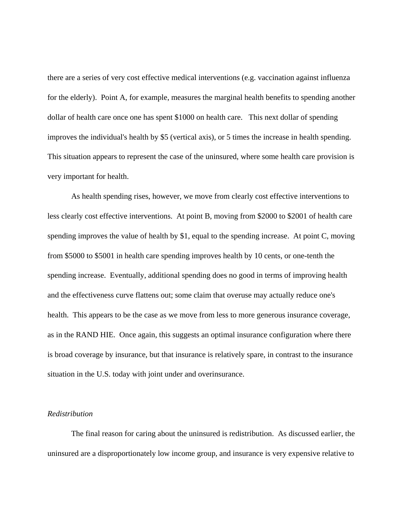there are a series of very cost effective medical interventions (e.g. vaccination against influenza for the elderly). Point A, for example, measures the marginal health benefits to spending another dollar of health care once one has spent \$1000 on health care. This next dollar of spending improves the individual's health by \$5 (vertical axis), or 5 times the increase in health spending. This situation appears to represent the case of the uninsured, where some health care provision is very important for health.

 As health spending rises, however, we move from clearly cost effective interventions to less clearly cost effective interventions. At point B, moving from \$2000 to \$2001 of health care spending improves the value of health by \$1, equal to the spending increase. At point C, moving from \$5000 to \$5001 in health care spending improves health by 10 cents, or one-tenth the spending increase. Eventually, additional spending does no good in terms of improving health and the effectiveness curve flattens out; some claim that overuse may actually reduce one's health. This appears to be the case as we move from less to more generous insurance coverage, as in the RAND HIE. Once again, this suggests an optimal insurance configuration where there is broad coverage by insurance, but that insurance is relatively spare, in contrast to the insurance situation in the U.S. today with joint under and overinsurance.

# *Redistribution*

 The final reason for caring about the uninsured is redistribution. As discussed earlier, the uninsured are a disproportionately low income group, and insurance is very expensive relative to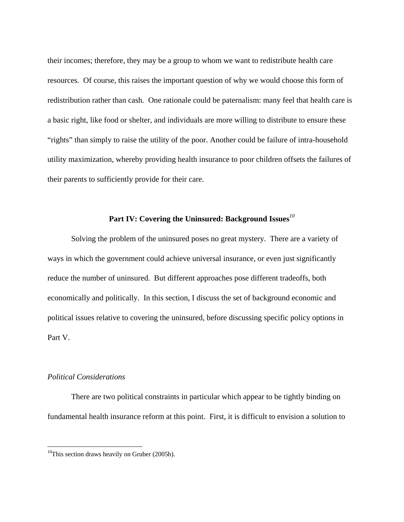their incomes; therefore, they may be a group to whom we want to redistribute health care resources. Of course, this raises the important question of why we would choose this form of redistribution rather than cash. One rationale could be paternalism: many feel that health care is a basic right, like food or shelter, and individuals are more willing to distribute to ensure these "rights" than simply to raise the utility of the poor. Another could be failure of intra-household utility maximization, whereby providing health insurance to poor children offsets the failures of their parents to sufficiently provide for their care.

# **Part IV: Covering the Uninsured: Background Issues***<sup>10</sup>*

 Solving the problem of the uninsured poses no great mystery. There are a variety of ways in which the government could achieve universal insurance, or even just significantly reduce the number of uninsured. But different approaches pose different tradeoffs, both economically and politically. In this section, I discuss the set of background economic and political issues relative to covering the uninsured, before discussing specific policy options in Part V.

### *Political Considerations*

 $\overline{a}$ 

 There are two political constraints in particular which appear to be tightly binding on fundamental health insurance reform at this point. First, it is difficult to envision a solution to

 $10$ This section draws heavily on Gruber (2005b).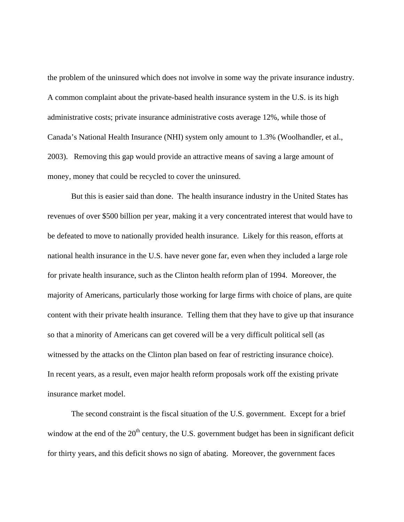the problem of the uninsured which does not involve in some way the private insurance industry. A common complaint about the private-based health insurance system in the U.S. is its high administrative costs; private insurance administrative costs average 12%, while those of Canada's National Health Insurance (NHI) system only amount to 1.3% (Woolhandler, et al., 2003). Removing this gap would provide an attractive means of saving a large amount of money, money that could be recycled to cover the uninsured.

 But this is easier said than done. The health insurance industry in the United States has revenues of over \$500 billion per year, making it a very concentrated interest that would have to be defeated to move to nationally provided health insurance. Likely for this reason, efforts at national health insurance in the U.S. have never gone far, even when they included a large role for private health insurance, such as the Clinton health reform plan of 1994. Moreover, the majority of Americans, particularly those working for large firms with choice of plans, are quite content with their private health insurance. Telling them that they have to give up that insurance so that a minority of Americans can get covered will be a very difficult political sell (as witnessed by the attacks on the Clinton plan based on fear of restricting insurance choice). In recent years, as a result, even major health reform proposals work off the existing private insurance market model.

 The second constraint is the fiscal situation of the U.S. government. Except for a brief window at the end of the  $20<sup>th</sup>$  century, the U.S. government budget has been in significant deficit for thirty years, and this deficit shows no sign of abating. Moreover, the government faces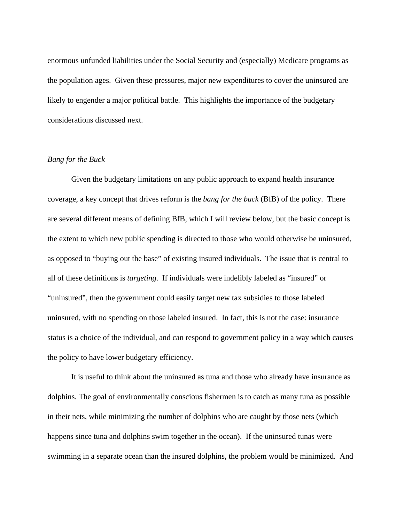enormous unfunded liabilities under the Social Security and (especially) Medicare programs as the population ages. Given these pressures, major new expenditures to cover the uninsured are likely to engender a major political battle. This highlights the importance of the budgetary considerations discussed next.

### *Bang for the Buck*

 Given the budgetary limitations on any public approach to expand health insurance coverage, a key concept that drives reform is the *bang for the buck* (BfB) of the policy. There are several different means of defining BfB, which I will review below, but the basic concept is the extent to which new public spending is directed to those who would otherwise be uninsured, as opposed to "buying out the base" of existing insured individuals. The issue that is central to all of these definitions is *targeting*. If individuals were indelibly labeled as "insured" or "uninsured", then the government could easily target new tax subsidies to those labeled uninsured, with no spending on those labeled insured. In fact, this is not the case: insurance status is a choice of the individual, and can respond to government policy in a way which causes the policy to have lower budgetary efficiency.

 It is useful to think about the uninsured as tuna and those who already have insurance as dolphins. The goal of environmentally conscious fishermen is to catch as many tuna as possible in their nets, while minimizing the number of dolphins who are caught by those nets (which happens since tuna and dolphins swim together in the ocean). If the uninsured tunas were swimming in a separate ocean than the insured dolphins, the problem would be minimized. And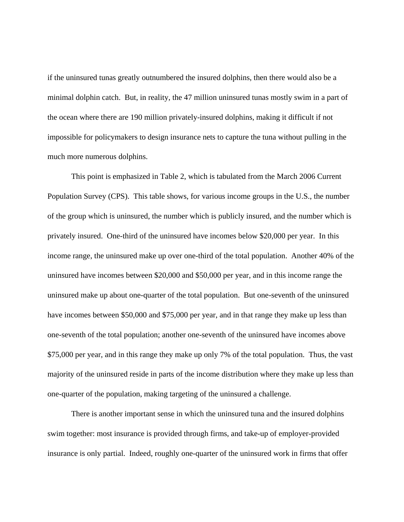if the uninsured tunas greatly outnumbered the insured dolphins, then there would also be a minimal dolphin catch. But, in reality, the 47 million uninsured tunas mostly swim in a part of the ocean where there are 190 million privately-insured dolphins, making it difficult if not impossible for policymakers to design insurance nets to capture the tuna without pulling in the much more numerous dolphins.

 This point is emphasized in Table 2, which is tabulated from the March 2006 Current Population Survey (CPS). This table shows, for various income groups in the U.S., the number of the group which is uninsured, the number which is publicly insured, and the number which is privately insured. One-third of the uninsured have incomes below \$20,000 per year. In this income range, the uninsured make up over one-third of the total population. Another 40% of the uninsured have incomes between \$20,000 and \$50,000 per year, and in this income range the uninsured make up about one-quarter of the total population. But one-seventh of the uninsured have incomes between \$50,000 and \$75,000 per year, and in that range they make up less than one-seventh of the total population; another one-seventh of the uninsured have incomes above \$75,000 per year, and in this range they make up only 7% of the total population. Thus, the vast majority of the uninsured reside in parts of the income distribution where they make up less than one-quarter of the population, making targeting of the uninsured a challenge.

 There is another important sense in which the uninsured tuna and the insured dolphins swim together: most insurance is provided through firms, and take-up of employer-provided insurance is only partial. Indeed, roughly one-quarter of the uninsured work in firms that offer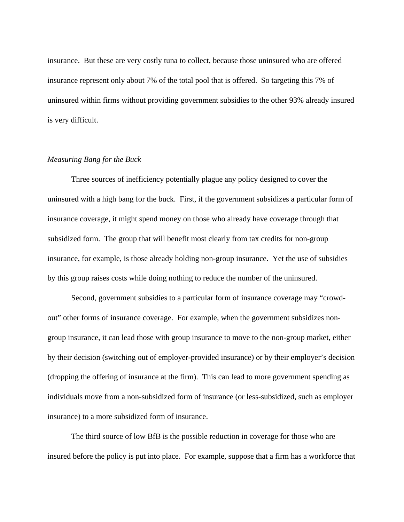insurance. But these are very costly tuna to collect, because those uninsured who are offered insurance represent only about 7% of the total pool that is offered. So targeting this 7% of uninsured within firms without providing government subsidies to the other 93% already insured is very difficult.

# *Measuring Bang for the Buck*

 Three sources of inefficiency potentially plague any policy designed to cover the uninsured with a high bang for the buck. First, if the government subsidizes a particular form of insurance coverage, it might spend money on those who already have coverage through that subsidized form. The group that will benefit most clearly from tax credits for non-group insurance, for example, is those already holding non-group insurance. Yet the use of subsidies by this group raises costs while doing nothing to reduce the number of the uninsured.

 Second, government subsidies to a particular form of insurance coverage may "crowdout" other forms of insurance coverage. For example, when the government subsidizes nongroup insurance, it can lead those with group insurance to move to the non-group market, either by their decision (switching out of employer-provided insurance) or by their employer's decision (dropping the offering of insurance at the firm). This can lead to more government spending as individuals move from a non-subsidized form of insurance (or less-subsidized, such as employer insurance) to a more subsidized form of insurance.

 The third source of low BfB is the possible reduction in coverage for those who are insured before the policy is put into place. For example, suppose that a firm has a workforce that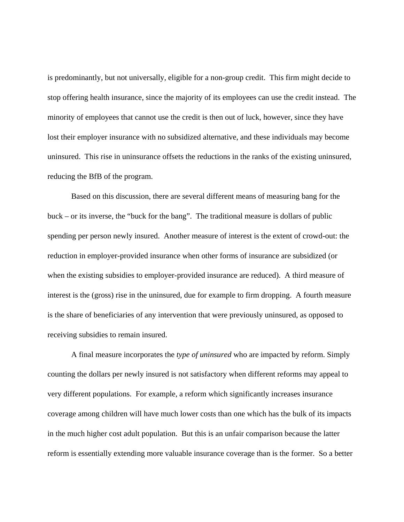is predominantly, but not universally, eligible for a non-group credit. This firm might decide to stop offering health insurance, since the majority of its employees can use the credit instead. The minority of employees that cannot use the credit is then out of luck, however, since they have lost their employer insurance with no subsidized alternative, and these individuals may become uninsured. This rise in uninsurance offsets the reductions in the ranks of the existing uninsured, reducing the BfB of the program.

 Based on this discussion, there are several different means of measuring bang for the buck – or its inverse, the "buck for the bang". The traditional measure is dollars of public spending per person newly insured. Another measure of interest is the extent of crowd-out: the reduction in employer-provided insurance when other forms of insurance are subsidized (or when the existing subsidies to employer-provided insurance are reduced). A third measure of interest is the (gross) rise in the uninsured, due for example to firm dropping. A fourth measure is the share of beneficiaries of any intervention that were previously uninsured, as opposed to receiving subsidies to remain insured.

 A final measure incorporates the *type of uninsured* who are impacted by reform. Simply counting the dollars per newly insured is not satisfactory when different reforms may appeal to very different populations. For example, a reform which significantly increases insurance coverage among children will have much lower costs than one which has the bulk of its impacts in the much higher cost adult population. But this is an unfair comparison because the latter reform is essentially extending more valuable insurance coverage than is the former. So a better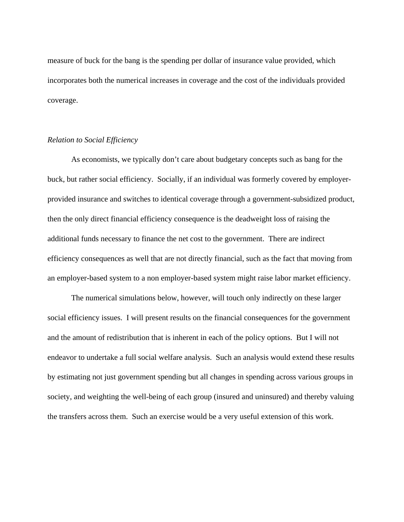measure of buck for the bang is the spending per dollar of insurance value provided, which incorporates both the numerical increases in coverage and the cost of the individuals provided coverage.

### *Relation to Social Efficiency*

 As economists, we typically don't care about budgetary concepts such as bang for the buck, but rather social efficiency. Socially, if an individual was formerly covered by employerprovided insurance and switches to identical coverage through a government-subsidized product, then the only direct financial efficiency consequence is the deadweight loss of raising the additional funds necessary to finance the net cost to the government. There are indirect efficiency consequences as well that are not directly financial, such as the fact that moving from an employer-based system to a non employer-based system might raise labor market efficiency.

 The numerical simulations below, however, will touch only indirectly on these larger social efficiency issues. I will present results on the financial consequences for the government and the amount of redistribution that is inherent in each of the policy options. But I will not endeavor to undertake a full social welfare analysis. Such an analysis would extend these results by estimating not just government spending but all changes in spending across various groups in society, and weighting the well-being of each group (insured and uninsured) and thereby valuing the transfers across them. Such an exercise would be a very useful extension of this work.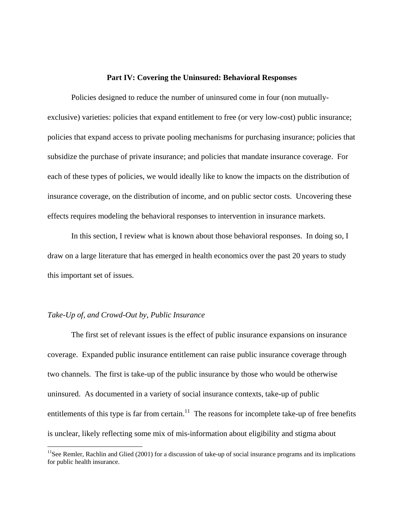#### **Part IV: Covering the Uninsured: Behavioral Responses**

 Policies designed to reduce the number of uninsured come in four (non mutuallyexclusive) varieties: policies that expand entitlement to free (or very low-cost) public insurance; policies that expand access to private pooling mechanisms for purchasing insurance; policies that subsidize the purchase of private insurance; and policies that mandate insurance coverage. For each of these types of policies, we would ideally like to know the impacts on the distribution of insurance coverage, on the distribution of income, and on public sector costs. Uncovering these effects requires modeling the behavioral responses to intervention in insurance markets.

 In this section, I review what is known about those behavioral responses. In doing so, I draw on a large literature that has emerged in health economics over the past 20 years to study this important set of issues.

#### *Take-Up of, and Crowd-Out by, Public Insurance*

 $\overline{a}$ 

 The first set of relevant issues is the effect of public insurance expansions on insurance coverage. Expanded public insurance entitlement can raise public insurance coverage through two channels. The first is take-up of the public insurance by those who would be otherwise uninsured. As documented in a variety of social insurance contexts, take-up of public entitlements of this type is far from certain.<sup>11</sup> The reasons for incomplete take-up of free benefits is unclear, likely reflecting some mix of mis-information about eligibility and stigma about

<sup>&</sup>lt;sup>11</sup>See Remler, Rachlin and Glied (2001) for a discussion of take-up of social insurance programs and its implications for public health insurance.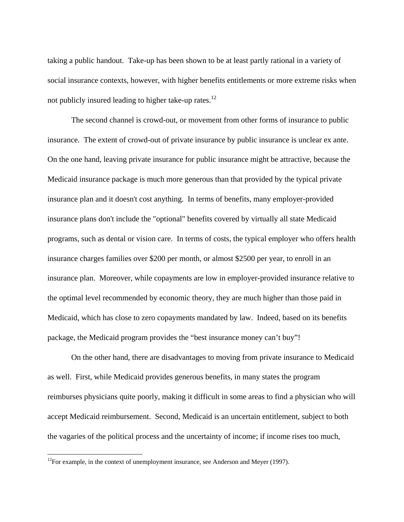taking a public handout. Take-up has been shown to be at least partly rational in a variety of social insurance contexts, however, with higher benefits entitlements or more extreme risks when not publicly insured leading to higher take-up rates.<sup>12</sup>

 The second channel is crowd-out, or movement from other forms of insurance to public insurance. The extent of crowd-out of private insurance by public insurance is unclear ex ante. On the one hand, leaving private insurance for public insurance might be attractive, because the Medicaid insurance package is much more generous than that provided by the typical private insurance plan and it doesn't cost anything. In terms of benefits, many employer-provided insurance plans don't include the "optional" benefits covered by virtually all state Medicaid programs, such as dental or vision care. In terms of costs, the typical employer who offers health insurance charges families over \$200 per month, or almost \$2500 per year, to enroll in an insurance plan. Moreover, while copayments are low in employer-provided insurance relative to the optimal level recommended by economic theory, they are much higher than those paid in Medicaid, which has close to zero copayments mandated by law. Indeed, based on its benefits package, the Medicaid program provides the "best insurance money can't buy"!

 On the other hand, there are disadvantages to moving from private insurance to Medicaid as well. First, while Medicaid provides generous benefits, in many states the program reimburses physicians quite poorly, making it difficult in some areas to find a physician who will accept Medicaid reimbursement. Second, Medicaid is an uncertain entitlement, subject to both the vagaries of the political process and the uncertainty of income; if income rises too much,

 $\overline{a}$ 

 $12$ For example, in the context of unemployment insurance, see Anderson and Meyer (1997).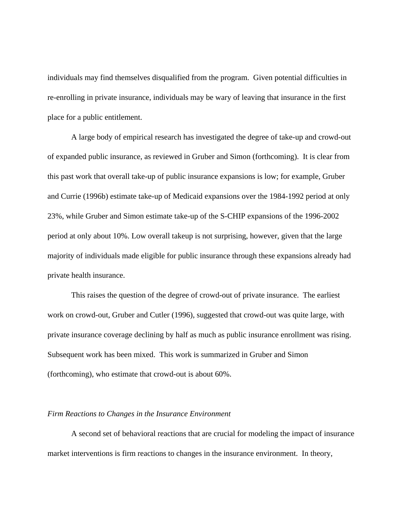individuals may find themselves disqualified from the program. Given potential difficulties in re-enrolling in private insurance, individuals may be wary of leaving that insurance in the first place for a public entitlement.

 A large body of empirical research has investigated the degree of take-up and crowd-out of expanded public insurance, as reviewed in Gruber and Simon (forthcoming). It is clear from this past work that overall take-up of public insurance expansions is low; for example, Gruber and Currie (1996b) estimate take-up of Medicaid expansions over the 1984-1992 period at only 23%, while Gruber and Simon estimate take-up of the S-CHIP expansions of the 1996-2002 period at only about 10%. Low overall takeup is not surprising, however, given that the large majority of individuals made eligible for public insurance through these expansions already had private health insurance.

 This raises the question of the degree of crowd-out of private insurance. The earliest work on crowd-out, Gruber and Cutler (1996), suggested that crowd-out was quite large, with private insurance coverage declining by half as much as public insurance enrollment was rising. Subsequent work has been mixed. This work is summarized in Gruber and Simon (forthcoming), who estimate that crowd-out is about 60%.

# *Firm Reactions to Changes in the Insurance Environment*

 A second set of behavioral reactions that are crucial for modeling the impact of insurance market interventions is firm reactions to changes in the insurance environment. In theory,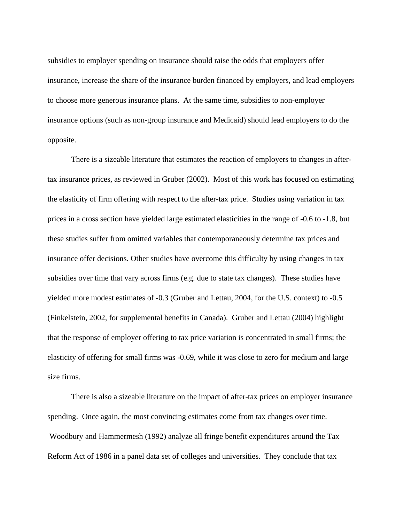subsidies to employer spending on insurance should raise the odds that employers offer insurance, increase the share of the insurance burden financed by employers, and lead employers to choose more generous insurance plans. At the same time, subsidies to non-employer insurance options (such as non-group insurance and Medicaid) should lead employers to do the opposite.

 There is a sizeable literature that estimates the reaction of employers to changes in aftertax insurance prices, as reviewed in Gruber (2002). Most of this work has focused on estimating the elasticity of firm offering with respect to the after-tax price. Studies using variation in tax prices in a cross section have yielded large estimated elasticities in the range of -0.6 to -1.8, but these studies suffer from omitted variables that contemporaneously determine tax prices and insurance offer decisions. Other studies have overcome this difficulty by using changes in tax subsidies over time that vary across firms (e.g. due to state tax changes). These studies have yielded more modest estimates of -0.3 (Gruber and Lettau, 2004, for the U.S. context) to -0.5 (Finkelstein, 2002, for supplemental benefits in Canada). Gruber and Lettau (2004) highlight that the response of employer offering to tax price variation is concentrated in small firms; the elasticity of offering for small firms was -0.69, while it was close to zero for medium and large size firms.

 There is also a sizeable literature on the impact of after-tax prices on employer insurance spending. Once again, the most convincing estimates come from tax changes over time. Woodbury and Hammermesh (1992) analyze all fringe benefit expenditures around the Tax Reform Act of 1986 in a panel data set of colleges and universities. They conclude that tax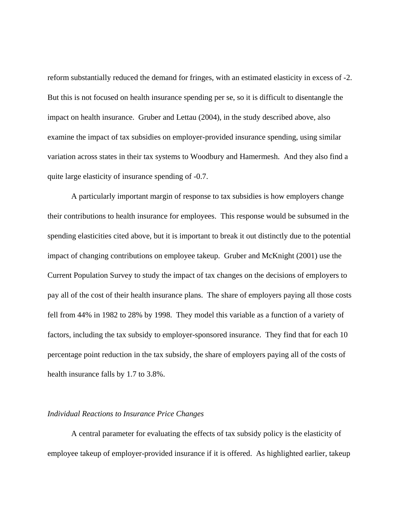reform substantially reduced the demand for fringes, with an estimated elasticity in excess of -2. But this is not focused on health insurance spending per se, so it is difficult to disentangle the impact on health insurance. Gruber and Lettau (2004), in the study described above, also examine the impact of tax subsidies on employer-provided insurance spending, using similar variation across states in their tax systems to Woodbury and Hamermesh. And they also find a quite large elasticity of insurance spending of -0.7.

 A particularly important margin of response to tax subsidies is how employers change their contributions to health insurance for employees. This response would be subsumed in the spending elasticities cited above, but it is important to break it out distinctly due to the potential impact of changing contributions on employee takeup. Gruber and McKnight (2001) use the Current Population Survey to study the impact of tax changes on the decisions of employers to pay all of the cost of their health insurance plans. The share of employers paying all those costs fell from 44% in 1982 to 28% by 1998. They model this variable as a function of a variety of factors, including the tax subsidy to employer-sponsored insurance. They find that for each 10 percentage point reduction in the tax subsidy, the share of employers paying all of the costs of health insurance falls by 1.7 to 3.8%.

## *Individual Reactions to Insurance Price Changes*

 A central parameter for evaluating the effects of tax subsidy policy is the elasticity of employee takeup of employer-provided insurance if it is offered. As highlighted earlier, takeup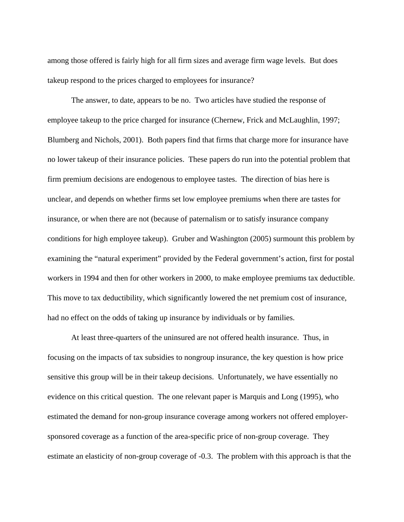among those offered is fairly high for all firm sizes and average firm wage levels. But does takeup respond to the prices charged to employees for insurance?

 The answer, to date, appears to be no. Two articles have studied the response of employee takeup to the price charged for insurance (Chernew, Frick and McLaughlin, 1997; Blumberg and Nichols, 2001). Both papers find that firms that charge more for insurance have no lower takeup of their insurance policies. These papers do run into the potential problem that firm premium decisions are endogenous to employee tastes. The direction of bias here is unclear, and depends on whether firms set low employee premiums when there are tastes for insurance, or when there are not (because of paternalism or to satisfy insurance company conditions for high employee takeup). Gruber and Washington (2005) surmount this problem by examining the "natural experiment" provided by the Federal government's action, first for postal workers in 1994 and then for other workers in 2000, to make employee premiums tax deductible. This move to tax deductibility, which significantly lowered the net premium cost of insurance, had no effect on the odds of taking up insurance by individuals or by families.

 At least three-quarters of the uninsured are not offered health insurance. Thus, in focusing on the impacts of tax subsidies to nongroup insurance, the key question is how price sensitive this group will be in their takeup decisions. Unfortunately, we have essentially no evidence on this critical question. The one relevant paper is Marquis and Long (1995), who estimated the demand for non-group insurance coverage among workers not offered employersponsored coverage as a function of the area-specific price of non-group coverage. They estimate an elasticity of non-group coverage of -0.3. The problem with this approach is that the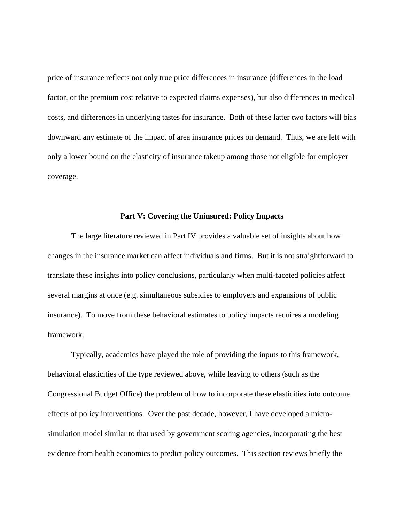price of insurance reflects not only true price differences in insurance (differences in the load factor, or the premium cost relative to expected claims expenses), but also differences in medical costs, and differences in underlying tastes for insurance. Both of these latter two factors will bias downward any estimate of the impact of area insurance prices on demand. Thus, we are left with only a lower bound on the elasticity of insurance takeup among those not eligible for employer coverage.

## **Part V: Covering the Uninsured: Policy Impacts**

 The large literature reviewed in Part IV provides a valuable set of insights about how changes in the insurance market can affect individuals and firms. But it is not straightforward to translate these insights into policy conclusions, particularly when multi-faceted policies affect several margins at once (e.g. simultaneous subsidies to employers and expansions of public insurance). To move from these behavioral estimates to policy impacts requires a modeling framework.

 Typically, academics have played the role of providing the inputs to this framework, behavioral elasticities of the type reviewed above, while leaving to others (such as the Congressional Budget Office) the problem of how to incorporate these elasticities into outcome effects of policy interventions. Over the past decade, however, I have developed a microsimulation model similar to that used by government scoring agencies, incorporating the best evidence from health economics to predict policy outcomes. This section reviews briefly the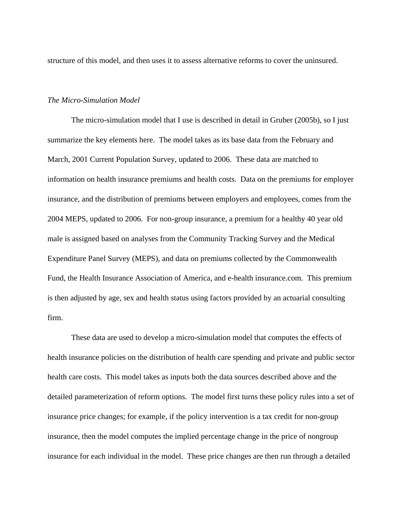structure of this model, and then uses it to assess alternative reforms to cover the uninsured.

# *The Micro-Simulation Model*

 The micro-simulation model that I use is described in detail in Gruber (2005b), so I just summarize the key elements here. The model takes as its base data from the February and March, 2001 Current Population Survey, updated to 2006. These data are matched to information on health insurance premiums and health costs. Data on the premiums for employer insurance, and the distribution of premiums between employers and employees, comes from the 2004 MEPS, updated to 2006. For non-group insurance, a premium for a healthy 40 year old male is assigned based on analyses from the Community Tracking Survey and the Medical Expenditure Panel Survey (MEPS), and data on premiums collected by the Commonwealth Fund, the Health Insurance Association of America, and e-health insurance.com. This premium is then adjusted by age, sex and health status using factors provided by an actuarial consulting firm.

 These data are used to develop a micro-simulation model that computes the effects of health insurance policies on the distribution of health care spending and private and public sector health care costs. This model takes as inputs both the data sources described above and the detailed parameterization of reform options. The model first turns these policy rules into a set of insurance price changes; for example, if the policy intervention is a tax credit for non-group insurance, then the model computes the implied percentage change in the price of nongroup insurance for each individual in the model. These price changes are then run through a detailed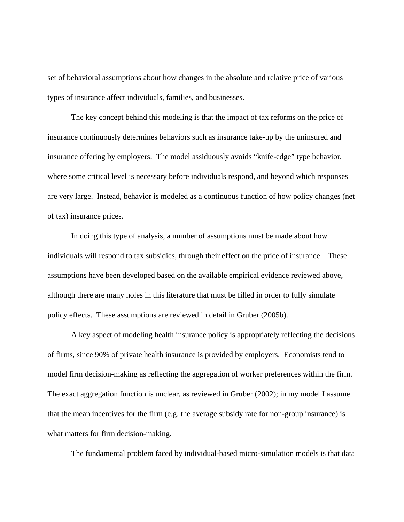set of behavioral assumptions about how changes in the absolute and relative price of various types of insurance affect individuals, families, and businesses.

 The key concept behind this modeling is that the impact of tax reforms on the price of insurance continuously determines behaviors such as insurance take-up by the uninsured and insurance offering by employers. The model assiduously avoids "knife-edge" type behavior, where some critical level is necessary before individuals respond, and beyond which responses are very large. Instead, behavior is modeled as a continuous function of how policy changes (net of tax) insurance prices.

 In doing this type of analysis, a number of assumptions must be made about how individuals will respond to tax subsidies, through their effect on the price of insurance. These assumptions have been developed based on the available empirical evidence reviewed above, although there are many holes in this literature that must be filled in order to fully simulate policy effects. These assumptions are reviewed in detail in Gruber (2005b).

 A key aspect of modeling health insurance policy is appropriately reflecting the decisions of firms, since 90% of private health insurance is provided by employers. Economists tend to model firm decision-making as reflecting the aggregation of worker preferences within the firm. The exact aggregation function is unclear, as reviewed in Gruber (2002); in my model I assume that the mean incentives for the firm (e.g. the average subsidy rate for non-group insurance) is what matters for firm decision-making.

The fundamental problem faced by individual-based micro-simulation models is that data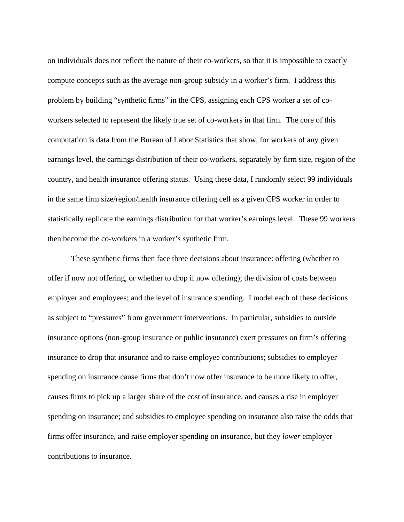on individuals does not reflect the nature of their co-workers, so that it is impossible to exactly compute concepts such as the average non-group subsidy in a worker's firm. I address this problem by building "synthetic firms" in the CPS, assigning each CPS worker a set of coworkers selected to represent the likely true set of co-workers in that firm. The core of this computation is data from the Bureau of Labor Statistics that show, for workers of any given earnings level, the earnings distribution of their co-workers, separately by firm size, region of the country, and health insurance offering status. Using these data, I randomly select 99 individuals in the same firm size/region/health insurance offering cell as a given CPS worker in order to statistically replicate the earnings distribution for that worker's earnings level. These 99 workers then become the co-workers in a worker's synthetic firm.

 These synthetic firms then face three decisions about insurance: offering (whether to offer if now not offering, or whether to drop if now offering); the division of costs between employer and employees; and the level of insurance spending. I model each of these decisions as subject to "pressures" from government interventions. In particular, subsidies to outside insurance options (non-group insurance or public insurance) exert pressures on firm's offering insurance to drop that insurance and to raise employee contributions; subsidies to employer spending on insurance cause firms that don't now offer insurance to be more likely to offer, causes firms to pick up a larger share of the cost of insurance, and causes a rise in employer spending on insurance; and subsidies to employee spending on insurance also raise the odds that firms offer insurance, and raise employer spending on insurance, but they *lower* employer contributions to insurance.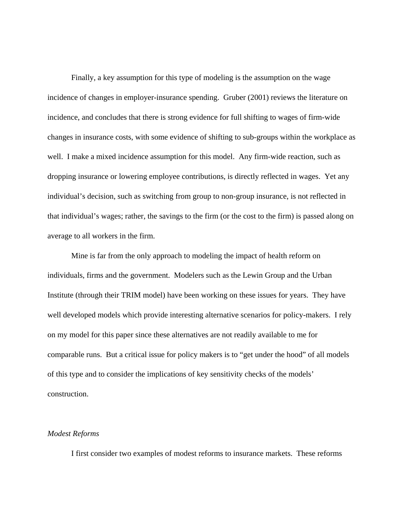Finally, a key assumption for this type of modeling is the assumption on the wage incidence of changes in employer-insurance spending. Gruber (2001) reviews the literature on incidence, and concludes that there is strong evidence for full shifting to wages of firm-wide changes in insurance costs, with some evidence of shifting to sub-groups within the workplace as well. I make a mixed incidence assumption for this model. Any firm-wide reaction, such as dropping insurance or lowering employee contributions, is directly reflected in wages. Yet any individual's decision, such as switching from group to non-group insurance, is not reflected in that individual's wages; rather, the savings to the firm (or the cost to the firm) is passed along on average to all workers in the firm.

 Mine is far from the only approach to modeling the impact of health reform on individuals, firms and the government. Modelers such as the Lewin Group and the Urban Institute (through their TRIM model) have been working on these issues for years. They have well developed models which provide interesting alternative scenarios for policy-makers. I rely on my model for this paper since these alternatives are not readily available to me for comparable runs. But a critical issue for policy makers is to "get under the hood" of all models of this type and to consider the implications of key sensitivity checks of the models' construction.

# *Modest Reforms*

I first consider two examples of modest reforms to insurance markets. These reforms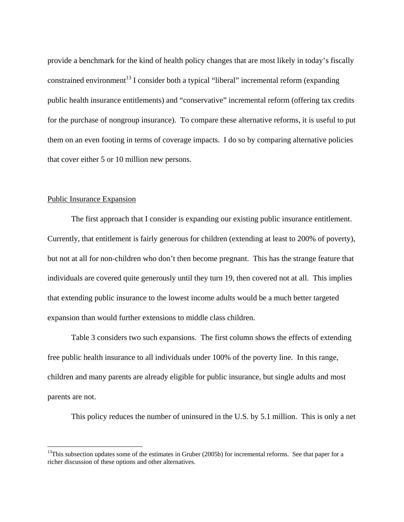provide a benchmark for the kind of health policy changes that are most likely in today's fiscally constrained environment<sup>13</sup> I consider both a typical "liberal" incremental reform (expanding public health insurance entitlements) and "conservative" incremental reform (offering tax credits for the purchase of nongroup insurance). To compare these alternative reforms, it is useful to put them on an even footing in terms of coverage impacts. I do so by comparing alternative policies that cover either 5 or 10 million new persons.

## Public Insurance Expansion

1

 The first approach that I consider is expanding our existing public insurance entitlement. Currently, that entitlement is fairly generous for children (extending at least to 200% of poverty), but not at all for non-children who don't then become pregnant. This has the strange feature that individuals are covered quite generously until they turn 19, then covered not at all. This implies that extending public insurance to the lowest income adults would be a much better targeted expansion than would further extensions to middle class children.

 Table 3 considers two such expansions. The first column shows the effects of extending free public health insurance to all individuals under 100% of the poverty line. In this range, children and many parents are already eligible for public insurance, but single adults and most parents are not.

This policy reduces the number of uninsured in the U.S. by 5.1 million. This is only a net

 $13$ This subsection updates some of the estimates in Gruber (2005b) for incremental reforms. See that paper for a richer discussion of these options and other alternatives.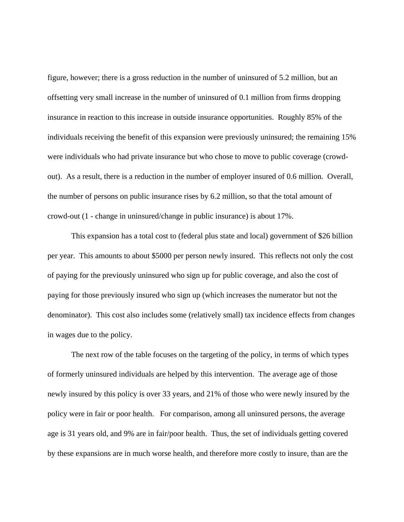figure, however; there is a gross reduction in the number of uninsured of 5.2 million, but an offsetting very small increase in the number of uninsured of 0.1 million from firms dropping insurance in reaction to this increase in outside insurance opportunities. Roughly 85% of the individuals receiving the benefit of this expansion were previously uninsured; the remaining 15% were individuals who had private insurance but who chose to move to public coverage (crowdout). As a result, there is a reduction in the number of employer insured of 0.6 million. Overall, the number of persons on public insurance rises by 6.2 million, so that the total amount of crowd-out (1 - change in uninsured/change in public insurance) is about 17%.

 This expansion has a total cost to (federal plus state and local) government of \$26 billion per year. This amounts to about \$5000 per person newly insured. This reflects not only the cost of paying for the previously uninsured who sign up for public coverage, and also the cost of paying for those previously insured who sign up (which increases the numerator but not the denominator). This cost also includes some (relatively small) tax incidence effects from changes in wages due to the policy.

 The next row of the table focuses on the targeting of the policy, in terms of which types of formerly uninsured individuals are helped by this intervention. The average age of those newly insured by this policy is over 33 years, and 21% of those who were newly insured by the policy were in fair or poor health. For comparison, among all uninsured persons, the average age is 31 years old, and 9% are in fair/poor health. Thus, the set of individuals getting covered by these expansions are in much worse health, and therefore more costly to insure, than are the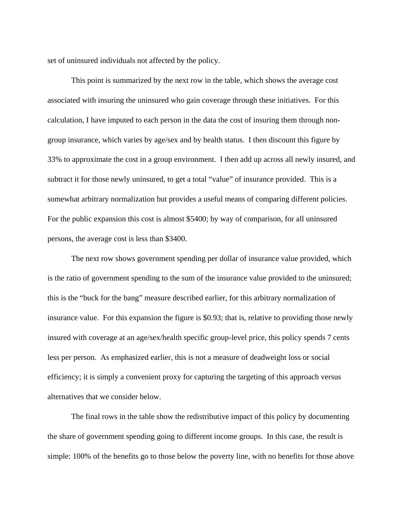set of uninsured individuals not affected by the policy.

 This point is summarized by the next row in the table, which shows the average cost associated with insuring the uninsured who gain coverage through these initiatives. For this calculation, I have imputed to each person in the data the cost of insuring them through nongroup insurance, which varies by age/sex and by health status. I then discount this figure by 33% to approximate the cost in a group environment. I then add up across all newly insured, and subtract it for those newly uninsured, to get a total "value" of insurance provided. This is a somewhat arbitrary normalization but provides a useful means of comparing different policies. For the public expansion this cost is almost \$5400; by way of comparison, for all uninsured persons, the average cost is less than \$3400.

 The next row shows government spending per dollar of insurance value provided, which is the ratio of government spending to the sum of the insurance value provided to the uninsured; this is the "buck for the bang" measure described earlier, for this arbitrary normalization of insurance value. For this expansion the figure is \$0.93; that is, relative to providing those newly insured with coverage at an age/sex/health specific group-level price, this policy spends 7 cents less per person. As emphasized earlier, this is not a measure of deadweight loss or social efficiency; it is simply a convenient proxy for capturing the targeting of this approach versus alternatives that we consider below.

 The final rows in the table show the redistributive impact of this policy by documenting the share of government spending going to different income groups. In this case, the result is simple: 100% of the benefits go to those below the poverty line, with no benefits for those above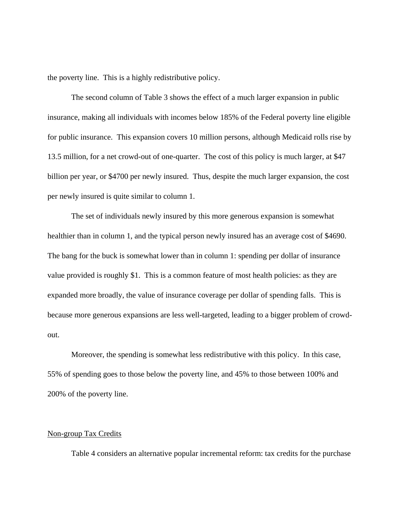the poverty line. This is a highly redistributive policy.

 The second column of Table 3 shows the effect of a much larger expansion in public insurance, making all individuals with incomes below 185% of the Federal poverty line eligible for public insurance. This expansion covers 10 million persons, although Medicaid rolls rise by 13.5 million, for a net crowd-out of one-quarter. The cost of this policy is much larger, at \$47 billion per year, or \$4700 per newly insured. Thus, despite the much larger expansion, the cost per newly insured is quite similar to column 1.

 The set of individuals newly insured by this more generous expansion is somewhat healthier than in column 1, and the typical person newly insured has an average cost of \$4690. The bang for the buck is somewhat lower than in column 1: spending per dollar of insurance value provided is roughly \$1. This is a common feature of most health policies: as they are expanded more broadly, the value of insurance coverage per dollar of spending falls. This is because more generous expansions are less well-targeted, leading to a bigger problem of crowdout.

 Moreover, the spending is somewhat less redistributive with this policy. In this case, 55% of spending goes to those below the poverty line, and 45% to those between 100% and 200% of the poverty line.

## Non-group Tax Credits

Table 4 considers an alternative popular incremental reform: tax credits for the purchase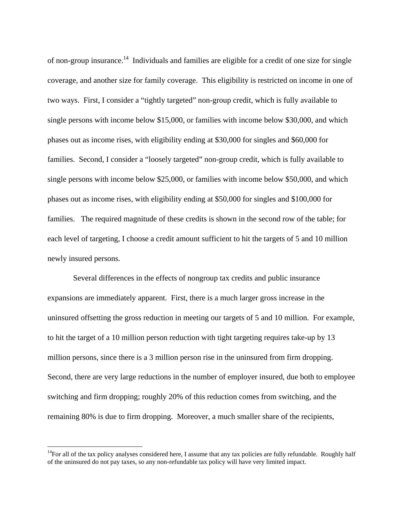of non-group insurance.<sup>14</sup> Individuals and families are eligible for a credit of one size for single coverage, and another size for family coverage. This eligibility is restricted on income in one of two ways. First, I consider a "tightly targeted" non-group credit, which is fully available to single persons with income below \$15,000, or families with income below \$30,000, and which phases out as income rises, with eligibility ending at \$30,000 for singles and \$60,000 for families. Second, I consider a "loosely targeted" non-group credit, which is fully available to single persons with income below \$25,000, or families with income below \$50,000, and which phases out as income rises, with eligibility ending at \$50,000 for singles and \$100,000 for families. The required magnitude of these credits is shown in the second row of the table; for each level of targeting, I choose a credit amount sufficient to hit the targets of 5 and 10 million newly insured persons.

 Several differences in the effects of nongroup tax credits and public insurance expansions are immediately apparent. First, there is a much larger gross increase in the uninsured offsetting the gross reduction in meeting our targets of 5 and 10 million. For example, to hit the target of a 10 million person reduction with tight targeting requires take-up by 13 million persons, since there is a 3 million person rise in the uninsured from firm dropping. Second, there are very large reductions in the number of employer insured, due both to employee switching and firm dropping; roughly 20% of this reduction comes from switching, and the remaining 80% is due to firm dropping. Moreover, a much smaller share of the recipients,

 $\overline{a}$ 

<sup>&</sup>lt;sup>14</sup>For all of the tax policy analyses considered here, I assume that any tax policies are fully refundable. Roughly half of the uninsured do not pay taxes, so any non-refundable tax policy will have very limited impact.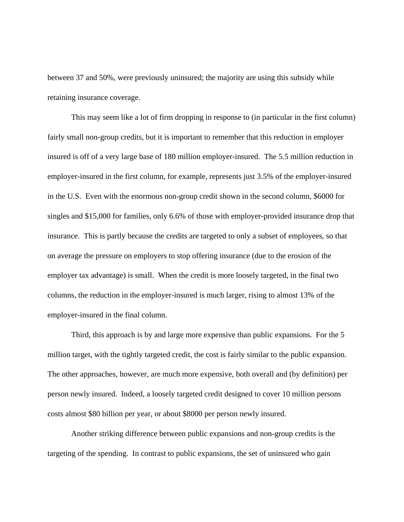between 37 and 50%, were previously uninsured; the majority are using this subsidy while retaining insurance coverage.

 This may seem like a lot of firm dropping in response to (in particular in the first column) fairly small non-group credits, but it is important to remember that this reduction in employer insured is off of a very large base of 180 million employer-insured. The 5.5 million reduction in employer-insured in the first column, for example, represents just 3.5% of the employer-insured in the U.S. Even with the enormous non-group credit shown in the second column, \$6000 for singles and \$15,000 for families, only 6.6% of those with employer-provided insurance drop that insurance. This is partly because the credits are targeted to only a subset of employees, so that on average the pressure on employers to stop offering insurance (due to the erosion of the employer tax advantage) is small. When the credit is more loosely targeted, in the final two columns, the reduction in the employer-insured is much larger, rising to almost 13% of the employer-insured in the final column.

 Third, this approach is by and large more expensive than public expansions. For the 5 million target, with the tightly targeted credit, the cost is fairly similar to the public expansion. The other approaches, however, are much more expensive, both overall and (by definition) per person newly insured. Indeed, a loosely targeted credit designed to cover 10 million persons costs almost \$80 billion per year, or about \$8000 per person newly insured.

 Another striking difference between public expansions and non-group credits is the targeting of the spending. In contrast to public expansions, the set of uninsured who gain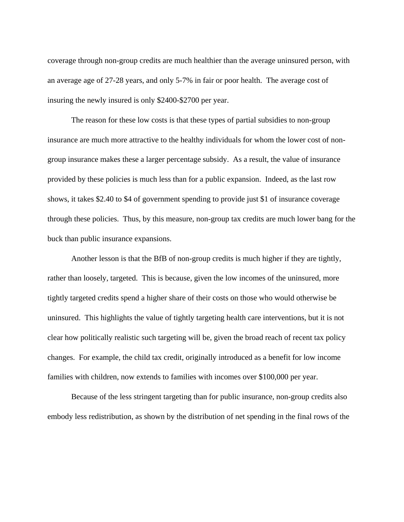coverage through non-group credits are much healthier than the average uninsured person, with an average age of 27-28 years, and only 5-7% in fair or poor health. The average cost of insuring the newly insured is only \$2400-\$2700 per year.

 The reason for these low costs is that these types of partial subsidies to non-group insurance are much more attractive to the healthy individuals for whom the lower cost of nongroup insurance makes these a larger percentage subsidy. As a result, the value of insurance provided by these policies is much less than for a public expansion. Indeed, as the last row shows, it takes \$2.40 to \$4 of government spending to provide just \$1 of insurance coverage through these policies. Thus, by this measure, non-group tax credits are much lower bang for the buck than public insurance expansions.

 Another lesson is that the BfB of non-group credits is much higher if they are tightly, rather than loosely, targeted. This is because, given the low incomes of the uninsured, more tightly targeted credits spend a higher share of their costs on those who would otherwise be uninsured. This highlights the value of tightly targeting health care interventions, but it is not clear how politically realistic such targeting will be, given the broad reach of recent tax policy changes. For example, the child tax credit, originally introduced as a benefit for low income families with children, now extends to families with incomes over \$100,000 per year.

 Because of the less stringent targeting than for public insurance, non-group credits also embody less redistribution, as shown by the distribution of net spending in the final rows of the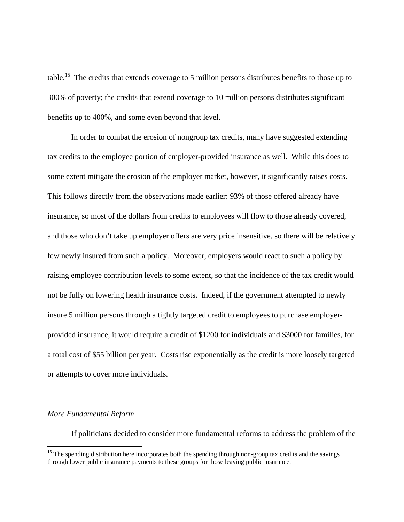table.15 The credits that extends coverage to 5 million persons distributes benefits to those up to 300% of poverty; the credits that extend coverage to 10 million persons distributes significant benefits up to 400%, and some even beyond that level.

 In order to combat the erosion of nongroup tax credits, many have suggested extending tax credits to the employee portion of employer-provided insurance as well. While this does to some extent mitigate the erosion of the employer market, however, it significantly raises costs. This follows directly from the observations made earlier: 93% of those offered already have insurance, so most of the dollars from credits to employees will flow to those already covered, and those who don't take up employer offers are very price insensitive, so there will be relatively few newly insured from such a policy. Moreover, employers would react to such a policy by raising employee contribution levels to some extent, so that the incidence of the tax credit would not be fully on lowering health insurance costs. Indeed, if the government attempted to newly insure 5 million persons through a tightly targeted credit to employees to purchase employerprovided insurance, it would require a credit of \$1200 for individuals and \$3000 for families, for a total cost of \$55 billion per year. Costs rise exponentially as the credit is more loosely targeted or attempts to cover more individuals.

#### *More Fundamental Reform*

 $\overline{a}$ 

If politicians decided to consider more fundamental reforms to address the problem of the

 $15$  The spending distribution here incorporates both the spending through non-group tax credits and the savings through lower public insurance payments to these groups for those leaving public insurance.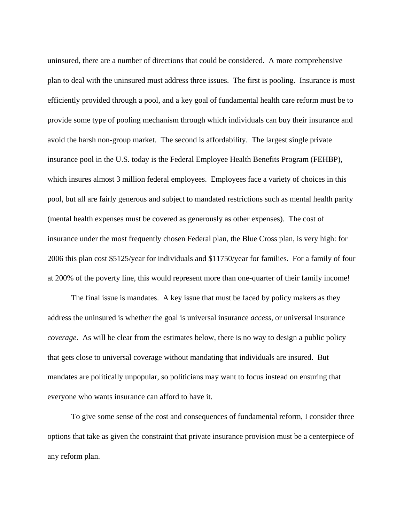uninsured, there are a number of directions that could be considered. A more comprehensive plan to deal with the uninsured must address three issues. The first is pooling. Insurance is most efficiently provided through a pool, and a key goal of fundamental health care reform must be to provide some type of pooling mechanism through which individuals can buy their insurance and avoid the harsh non-group market. The second is affordability. The largest single private insurance pool in the U.S. today is the Federal Employee Health Benefits Program (FEHBP), which insures almost 3 million federal employees. Employees face a variety of choices in this pool, but all are fairly generous and subject to mandated restrictions such as mental health parity (mental health expenses must be covered as generously as other expenses). The cost of insurance under the most frequently chosen Federal plan, the Blue Cross plan, is very high: for 2006 this plan cost \$5125/year for individuals and \$11750/year for families. For a family of four at 200% of the poverty line, this would represent more than one-quarter of their family income!

 The final issue is mandates. A key issue that must be faced by policy makers as they address the uninsured is whether the goal is universal insurance *access*, or universal insurance *coverage*. As will be clear from the estimates below, there is no way to design a public policy that gets close to universal coverage without mandating that individuals are insured. But mandates are politically unpopular, so politicians may want to focus instead on ensuring that everyone who wants insurance can afford to have it.

 To give some sense of the cost and consequences of fundamental reform, I consider three options that take as given the constraint that private insurance provision must be a centerpiece of any reform plan.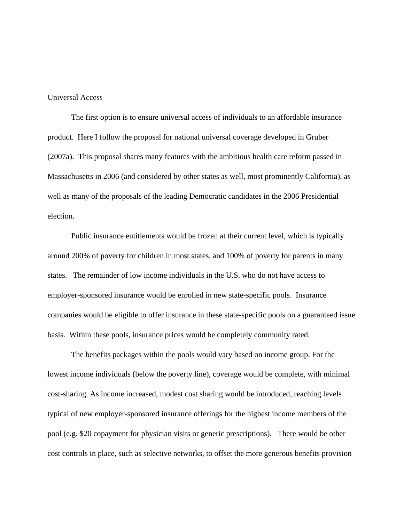## Universal Access

 The first option is to ensure universal access of individuals to an affordable insurance product. Here I follow the proposal for national universal coverage developed in Gruber (2007a). This proposal shares many features with the ambitious health care reform passed in Massachusetts in 2006 (and considered by other states as well, most prominently California), as well as many of the proposals of the leading Democratic candidates in the 2006 Presidential election.

 Public insurance entitlements would be frozen at their current level, which is typically around 200% of poverty for children in most states, and 100% of poverty for parents in many states. The remainder of low income individuals in the U.S. who do not have access to employer-sponsored insurance would be enrolled in new state-specific pools. Insurance companies would be eligible to offer insurance in these state-specific pools on a guaranteed issue basis. Within these pools, insurance prices would be completely community rated.

 The benefits packages within the pools would vary based on income group. For the lowest income individuals (below the poverty line), coverage would be complete, with minimal cost-sharing. As income increased, modest cost sharing would be introduced, reaching levels typical of new employer-sponsored insurance offerings for the highest income members of the pool (e.g. \$20 copayment for physician visits or generic prescriptions). There would be other cost controls in place, such as selective networks, to offset the more generous benefits provision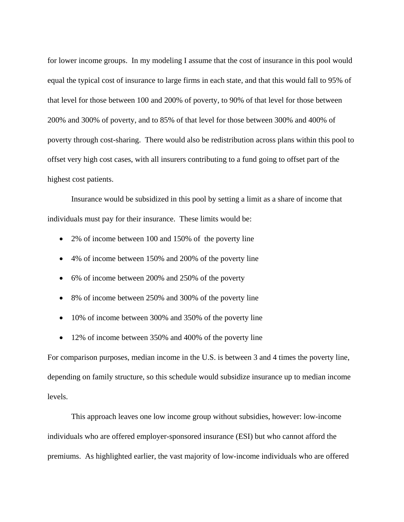for lower income groups. In my modeling I assume that the cost of insurance in this pool would equal the typical cost of insurance to large firms in each state, and that this would fall to 95% of that level for those between 100 and 200% of poverty, to 90% of that level for those between 200% and 300% of poverty, and to 85% of that level for those between 300% and 400% of poverty through cost-sharing. There would also be redistribution across plans within this pool to offset very high cost cases, with all insurers contributing to a fund going to offset part of the highest cost patients.

 Insurance would be subsidized in this pool by setting a limit as a share of income that individuals must pay for their insurance. These limits would be:

- 2% of income between 100 and 150% of the poverty line
- 4% of income between 150% and 200% of the poverty line
- 6% of income between 200% and 250% of the poverty
- 8% of income between 250% and 300% of the poverty line
- 10% of income between 300% and 350% of the poverty line
- 12% of income between 350% and 400% of the poverty line

For comparison purposes, median income in the U.S. is between 3 and 4 times the poverty line, depending on family structure, so this schedule would subsidize insurance up to median income levels.

 This approach leaves one low income group without subsidies, however: low-income individuals who are offered employer-sponsored insurance (ESI) but who cannot afford the premiums. As highlighted earlier, the vast majority of low-income individuals who are offered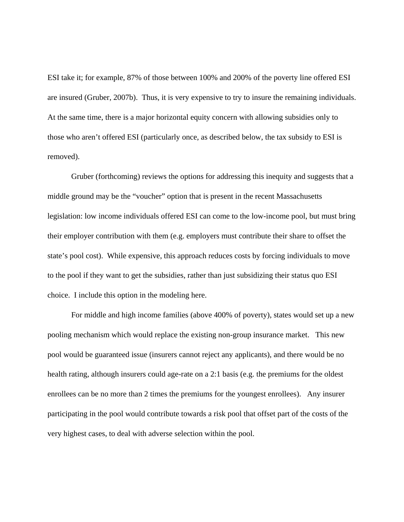ESI take it; for example, 87% of those between 100% and 200% of the poverty line offered ESI are insured (Gruber, 2007b). Thus, it is very expensive to try to insure the remaining individuals. At the same time, there is a major horizontal equity concern with allowing subsidies only to those who aren't offered ESI (particularly once, as described below, the tax subsidy to ESI is removed).

 Gruber (forthcoming) reviews the options for addressing this inequity and suggests that a middle ground may be the "voucher" option that is present in the recent Massachusetts legislation: low income individuals offered ESI can come to the low-income pool, but must bring their employer contribution with them (e.g. employers must contribute their share to offset the state's pool cost). While expensive, this approach reduces costs by forcing individuals to move to the pool if they want to get the subsidies, rather than just subsidizing their status quo ESI choice. I include this option in the modeling here.

 For middle and high income families (above 400% of poverty), states would set up a new pooling mechanism which would replace the existing non-group insurance market. This new pool would be guaranteed issue (insurers cannot reject any applicants), and there would be no health rating, although insurers could age-rate on a 2:1 basis (e.g. the premiums for the oldest enrollees can be no more than 2 times the premiums for the youngest enrollees). Any insurer participating in the pool would contribute towards a risk pool that offset part of the costs of the very highest cases, to deal with adverse selection within the pool.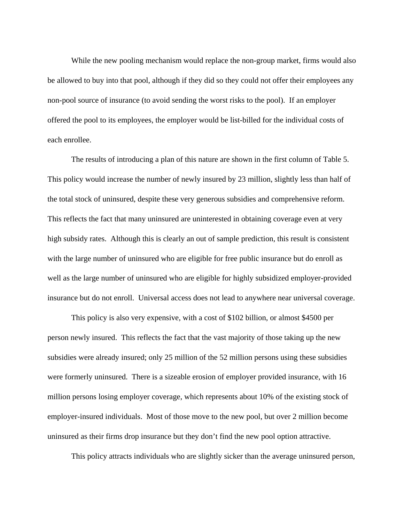While the new pooling mechanism would replace the non-group market, firms would also be allowed to buy into that pool, although if they did so they could not offer their employees any non-pool source of insurance (to avoid sending the worst risks to the pool). If an employer offered the pool to its employees, the employer would be list-billed for the individual costs of each enrollee.

 The results of introducing a plan of this nature are shown in the first column of Table 5. This policy would increase the number of newly insured by 23 million, slightly less than half of the total stock of uninsured, despite these very generous subsidies and comprehensive reform. This reflects the fact that many uninsured are uninterested in obtaining coverage even at very high subsidy rates. Although this is clearly an out of sample prediction, this result is consistent with the large number of uninsured who are eligible for free public insurance but do enroll as well as the large number of uninsured who are eligible for highly subsidized employer-provided insurance but do not enroll. Universal access does not lead to anywhere near universal coverage.

 This policy is also very expensive, with a cost of \$102 billion, or almost \$4500 per person newly insured. This reflects the fact that the vast majority of those taking up the new subsidies were already insured; only 25 million of the 52 million persons using these subsidies were formerly uninsured. There is a sizeable erosion of employer provided insurance, with 16 million persons losing employer coverage, which represents about 10% of the existing stock of employer-insured individuals. Most of those move to the new pool, but over 2 million become uninsured as their firms drop insurance but they don't find the new pool option attractive.

This policy attracts individuals who are slightly sicker than the average uninsured person,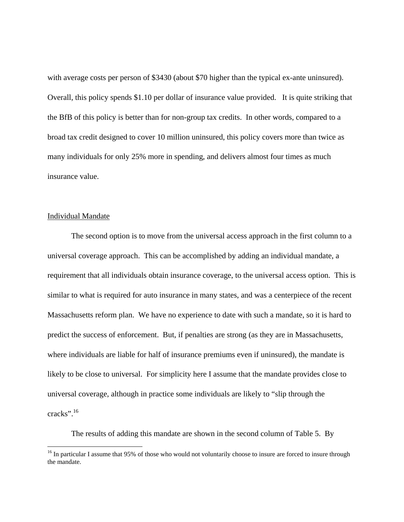with average costs per person of \$3430 (about \$70 higher than the typical ex-ante uninsured). Overall, this policy spends \$1.10 per dollar of insurance value provided. It is quite striking that the BfB of this policy is better than for non-group tax credits. In other words, compared to a broad tax credit designed to cover 10 million uninsured, this policy covers more than twice as many individuals for only 25% more in spending, and delivers almost four times as much insurance value.

#### Individual Mandate

 $\overline{a}$ 

 The second option is to move from the universal access approach in the first column to a universal coverage approach. This can be accomplished by adding an individual mandate, a requirement that all individuals obtain insurance coverage, to the universal access option. This is similar to what is required for auto insurance in many states, and was a centerpiece of the recent Massachusetts reform plan. We have no experience to date with such a mandate, so it is hard to predict the success of enforcement. But, if penalties are strong (as they are in Massachusetts, where individuals are liable for half of insurance premiums even if uninsured), the mandate is likely to be close to universal. For simplicity here I assume that the mandate provides close to universal coverage, although in practice some individuals are likely to "slip through the cracks".16

The results of adding this mandate are shown in the second column of Table 5. By

<sup>&</sup>lt;sup>16</sup> In particular I assume that 95% of those who would not voluntarily choose to insure are forced to insure through the mandate.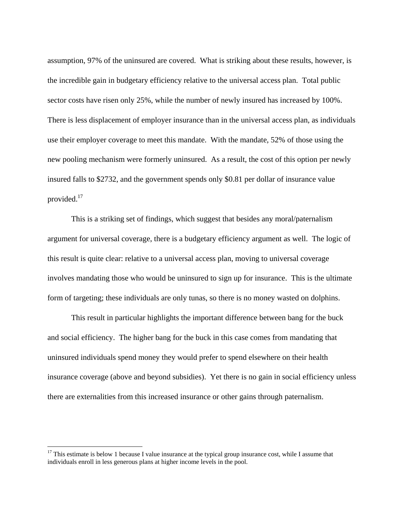assumption, 97% of the uninsured are covered. What is striking about these results, however, is the incredible gain in budgetary efficiency relative to the universal access plan. Total public sector costs have risen only 25%, while the number of newly insured has increased by 100%. There is less displacement of employer insurance than in the universal access plan, as individuals use their employer coverage to meet this mandate. With the mandate, 52% of those using the new pooling mechanism were formerly uninsured. As a result, the cost of this option per newly insured falls to \$2732, and the government spends only \$0.81 per dollar of insurance value provided.<sup>17</sup>

 This is a striking set of findings, which suggest that besides any moral/paternalism argument for universal coverage, there is a budgetary efficiency argument as well. The logic of this result is quite clear: relative to a universal access plan, moving to universal coverage involves mandating those who would be uninsured to sign up for insurance. This is the ultimate form of targeting; these individuals are only tunas, so there is no money wasted on dolphins.

 This result in particular highlights the important difference between bang for the buck and social efficiency. The higher bang for the buck in this case comes from mandating that uninsured individuals spend money they would prefer to spend elsewhere on their health insurance coverage (above and beyond subsidies). Yet there is no gain in social efficiency unless there are externalities from this increased insurance or other gains through paternalism.

1

 $17$  This estimate is below 1 because I value insurance at the typical group insurance cost, while I assume that individuals enroll in less generous plans at higher income levels in the pool.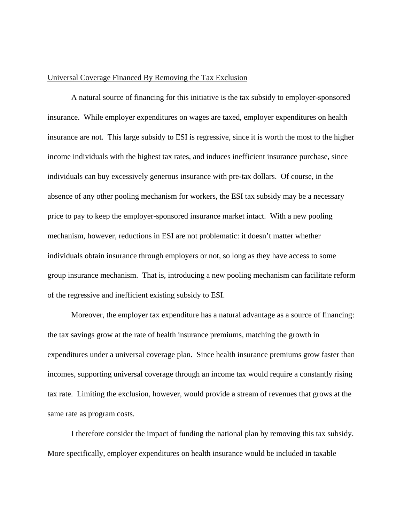#### Universal Coverage Financed By Removing the Tax Exclusion

 A natural source of financing for this initiative is the tax subsidy to employer-sponsored insurance. While employer expenditures on wages are taxed, employer expenditures on health insurance are not. This large subsidy to ESI is regressive, since it is worth the most to the higher income individuals with the highest tax rates, and induces inefficient insurance purchase, since individuals can buy excessively generous insurance with pre-tax dollars. Of course, in the absence of any other pooling mechanism for workers, the ESI tax subsidy may be a necessary price to pay to keep the employer-sponsored insurance market intact. With a new pooling mechanism, however, reductions in ESI are not problematic: it doesn't matter whether individuals obtain insurance through employers or not, so long as they have access to some group insurance mechanism. That is, introducing a new pooling mechanism can facilitate reform of the regressive and inefficient existing subsidy to ESI.

 Moreover, the employer tax expenditure has a natural advantage as a source of financing: the tax savings grow at the rate of health insurance premiums, matching the growth in expenditures under a universal coverage plan. Since health insurance premiums grow faster than incomes, supporting universal coverage through an income tax would require a constantly rising tax rate. Limiting the exclusion, however, would provide a stream of revenues that grows at the same rate as program costs.

 I therefore consider the impact of funding the national plan by removing this tax subsidy. More specifically, employer expenditures on health insurance would be included in taxable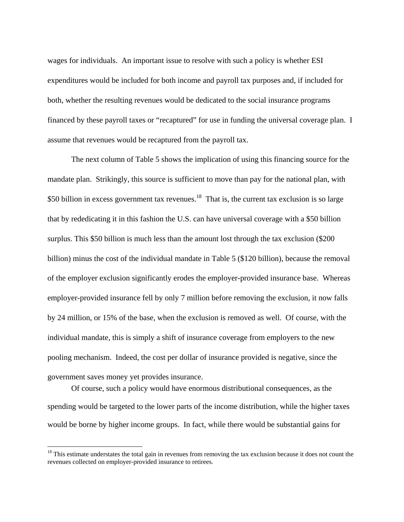wages for individuals. An important issue to resolve with such a policy is whether ESI expenditures would be included for both income and payroll tax purposes and, if included for both, whether the resulting revenues would be dedicated to the social insurance programs financed by these payroll taxes or "recaptured" for use in funding the universal coverage plan. I assume that revenues would be recaptured from the payroll tax.

 The next column of Table 5 shows the implication of using this financing source for the mandate plan. Strikingly, this source is sufficient to move than pay for the national plan, with \$50 billion in excess government tax revenues.<sup>18</sup> That is, the current tax exclusion is so large that by rededicating it in this fashion the U.S. can have universal coverage with a \$50 billion surplus. This \$50 billion is much less than the amount lost through the tax exclusion (\$200 billion) minus the cost of the individual mandate in Table 5 (\$120 billion), because the removal of the employer exclusion significantly erodes the employer-provided insurance base. Whereas employer-provided insurance fell by only 7 million before removing the exclusion, it now falls by 24 million, or 15% of the base, when the exclusion is removed as well. Of course, with the individual mandate, this is simply a shift of insurance coverage from employers to the new pooling mechanism. Indeed, the cost per dollar of insurance provided is negative, since the government saves money yet provides insurance.

 Of course, such a policy would have enormous distributional consequences, as the spending would be targeted to the lower parts of the income distribution, while the higher taxes would be borne by higher income groups. In fact, while there would be substantial gains for

 $\overline{a}$ 

 $18$  This estimate understates the total gain in revenues from removing the tax exclusion because it does not count the revenues collected on employer-provided insurance to retirees.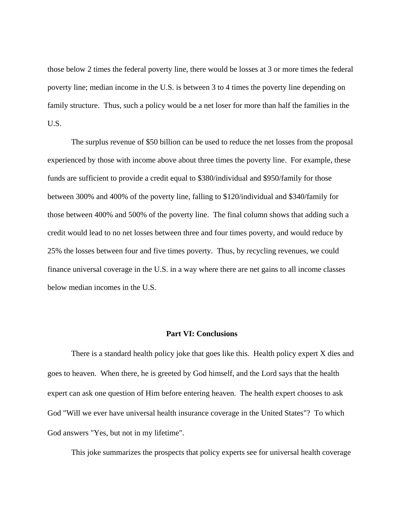those below 2 times the federal poverty line, there would be losses at 3 or more times the federal poverty line; median income in the U.S. is between 3 to 4 times the poverty line depending on family structure. Thus, such a policy would be a net loser for more than half the families in the U.S.

 The surplus revenue of \$50 billion can be used to reduce the net losses from the proposal experienced by those with income above about three times the poverty line. For example, these funds are sufficient to provide a credit equal to \$380/individual and \$950/family for those between 300% and 400% of the poverty line, falling to \$120/individual and \$340/family for those between 400% and 500% of the poverty line. The final column shows that adding such a credit would lead to no net losses between three and four times poverty, and would reduce by 25% the losses between four and five times poverty. Thus, by recycling revenues, we could finance universal coverage in the U.S. in a way where there are net gains to all income classes below median incomes in the U.S.

## **Part VI: Conclusions**

There is a standard health policy joke that goes like this. Health policy expert X dies and goes to heaven. When there, he is greeted by God himself, and the Lord says that the health expert can ask one question of Him before entering heaven. The health expert chooses to ask God "Will we ever have universal health insurance coverage in the United States"? To which God answers "Yes, but not in my lifetime".

This joke summarizes the prospects that policy experts see for universal health coverage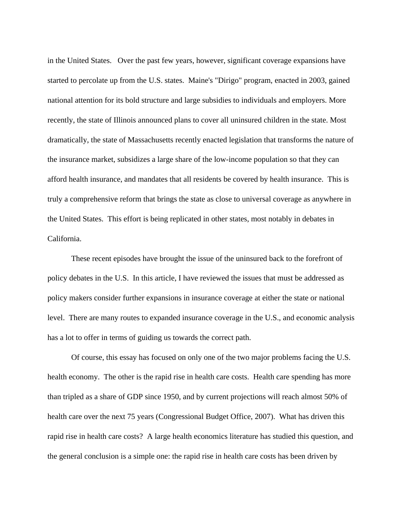in the United States. Over the past few years, however, significant coverage expansions have started to percolate up from the U.S. states. Maine's "Dirigo" program, enacted in 2003, gained national attention for its bold structure and large subsidies to individuals and employers. More recently, the state of Illinois announced plans to cover all uninsured children in the state. Most dramatically, the state of Massachusetts recently enacted legislation that transforms the nature of the insurance market, subsidizes a large share of the low-income population so that they can afford health insurance, and mandates that all residents be covered by health insurance. This is truly a comprehensive reform that brings the state as close to universal coverage as anywhere in the United States. This effort is being replicated in other states, most notably in debates in California.

 These recent episodes have brought the issue of the uninsured back to the forefront of policy debates in the U.S. In this article, I have reviewed the issues that must be addressed as policy makers consider further expansions in insurance coverage at either the state or national level. There are many routes to expanded insurance coverage in the U.S., and economic analysis has a lot to offer in terms of guiding us towards the correct path.

 Of course, this essay has focused on only one of the two major problems facing the U.S. health economy. The other is the rapid rise in health care costs. Health care spending has more than tripled as a share of GDP since 1950, and by current projections will reach almost 50% of health care over the next 75 years (Congressional Budget Office, 2007). What has driven this rapid rise in health care costs? A large health economics literature has studied this question, and the general conclusion is a simple one: the rapid rise in health care costs has been driven by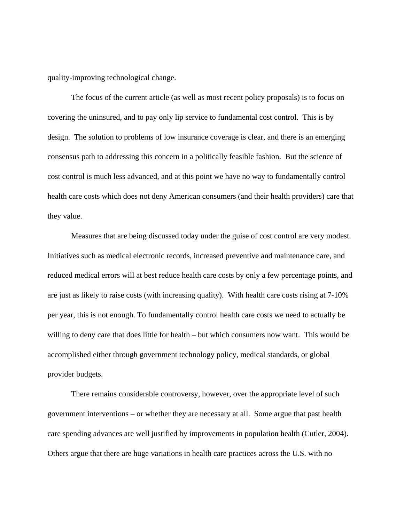quality-improving technological change.

 The focus of the current article (as well as most recent policy proposals) is to focus on covering the uninsured, and to pay only lip service to fundamental cost control. This is by design. The solution to problems of low insurance coverage is clear, and there is an emerging consensus path to addressing this concern in a politically feasible fashion. But the science of cost control is much less advanced, and at this point we have no way to fundamentally control health care costs which does not deny American consumers (and their health providers) care that they value.

 Measures that are being discussed today under the guise of cost control are very modest. Initiatives such as medical electronic records, increased preventive and maintenance care, and reduced medical errors will at best reduce health care costs by only a few percentage points, and are just as likely to raise costs (with increasing quality). With health care costs rising at 7-10% per year, this is not enough. To fundamentally control health care costs we need to actually be willing to deny care that does little for health – but which consumers now want. This would be accomplished either through government technology policy, medical standards, or global provider budgets.

 There remains considerable controversy, however, over the appropriate level of such government interventions – or whether they are necessary at all. Some argue that past health care spending advances are well justified by improvements in population health (Cutler, 2004). Others argue that there are huge variations in health care practices across the U.S. with no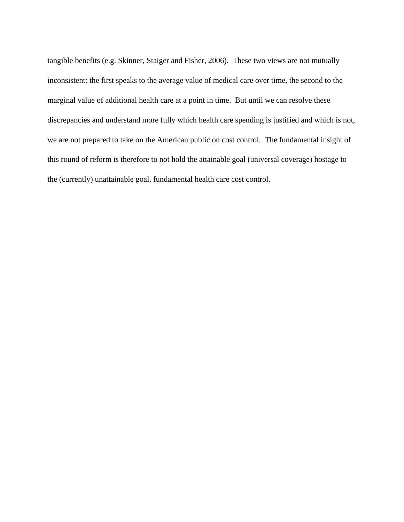tangible benefits (e.g. Skinner, Staiger and Fisher, 2006). These two views are not mutually inconsistent: the first speaks to the average value of medical care over time, the second to the marginal value of additional health care at a point in time. But until we can resolve these discrepancies and understand more fully which health care spending is justified and which is not, we are not prepared to take on the American public on cost control. The fundamental insight of this round of reform is therefore to not hold the attainable goal (universal coverage) hostage to the (currently) unattainable goal, fundamental health care cost control.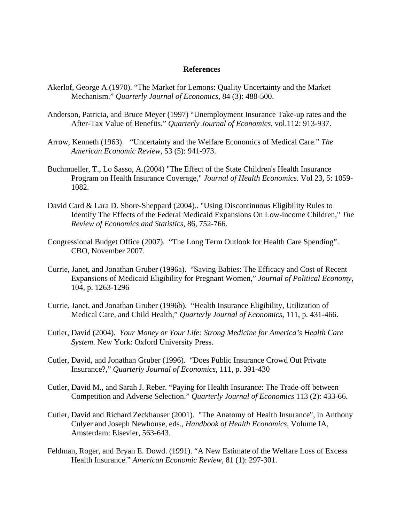### **References**

- Akerlof, George A.(1970). "The Market for Lemons: Quality Uncertainty and the Market Mechanism." *Quarterly Journal of Economics,* 84 (3): 488-500.
- Anderson, Patricia, and Bruce Meyer (1997) "Unemployment Insurance Take-up rates and the After-Tax Value of Benefits." *Quarterly Journal of Economics*, vol.112: 913-937.
- Arrow, Kenneth (1963). "Uncertainty and the Welfare Economics of Medical Care." *The American Economic Review*, 53 (5): 941-973.
- Buchmueller, T., Lo Sasso, A.(2004) "The Effect of the State Children's Health Insurance Program on Health Insurance Coverage," *Journal of Health Economics.* Vol 23, 5: 1059- 1082.
- David Card & Lara D. Shore-Sheppard (2004).. "Using Discontinuous Eligibility Rules to Identify The Effects of the Federal Medicaid Expansions On Low-income Children," *The Review of Economics and Statistics*, 86, 752-766.
- Congressional Budget Office (2007). "The Long Term Outlook for Health Care Spending". CBO, November 2007.
- Currie, Janet, and Jonathan Gruber (1996a). "Saving Babies: The Efficacy and Cost of Recent Expansions of Medicaid Eligibility for Pregnant Women," *Journal of Political Economy*, 104, p. 1263-1296
- Currie, Janet, and Jonathan Gruber (1996b). "Health Insurance Eligibility, Utilization of Medical Care, and Child Health," *Quarterly Journal of Economics*, 111, p. 431-466.
- Cutler, David (2004). *Your Money or Your Life: Strong Medicine for America's Health Care System*. New York: Oxford University Press.
- Cutler, David, and Jonathan Gruber (1996). "Does Public Insurance Crowd Out Private Insurance?," *Quarterly Journal of Economics*, 111, p. 391-430
- Cutler, David M., and Sarah J. Reber. "Paying for Health Insurance: The Trade-off between Competition and Adverse Selection." *Quarterly Journal of Economics* 113 (2): 433-66.
- Cutler, David and Richard Zeckhauser (2001). "The Anatomy of Health Insurance", in Anthony Culyer and Joseph Newhouse, eds., *Handbook of Health Economics*, Volume IA, Amsterdam: Elsevier, 563-643.
- Feldman, Roger, and Bryan E. Dowd. (1991). "A New Estimate of the Welfare Loss of Excess Health Insurance." *American Economic Review,* 81 (1): 297-301.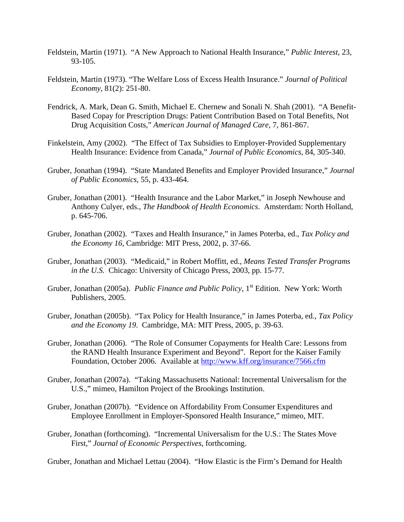- Feldstein, Martin (1971). "A New Approach to National Health Insurance," *Public Interest*, 23, 93-105.
- Feldstein, Martin (1973). "The Welfare Loss of Excess Health Insurance." *Journal of Political Economy,* 81(2): 251-80.
- Fendrick, A. Mark, Dean G. Smith, Michael E. Chernew and Sonali N. Shah (2001). "A Benefit-Based Copay for Prescription Drugs: Patient Contribution Based on Total Benefits, Not Drug Acquisition Costs," *American Journal of Managed Care*, 7, 861-867.
- Finkelstein, Amy (2002). "The Effect of Tax Subsidies to Employer-Provided Supplementary Health Insurance: Evidence from Canada," *Journal of Public Economics*, 84, 305-340.
- Gruber, Jonathan (1994). "State Mandated Benefits and Employer Provided Insurance," *Journal of Public Economics*, 55, p. 433-464.
- Gruber, Jonathan (2001). "Health Insurance and the Labor Market," in Joseph Newhouse and Anthony Culyer, eds., *The Handbook of Health Economics*. Amsterdam: North Holland, p. 645-706.
- Gruber, Jonathan (2002). "Taxes and Health Insurance," in James Poterba, ed., *Tax Policy and the Economy 16*, Cambridge: MIT Press, 2002, p. 37-66.
- Gruber, Jonathan (2003). "Medicaid," in Robert Moffitt, ed., *Means Tested Transfer Programs in the U.S.* Chicago: University of Chicago Press, 2003, pp. 15-77.
- Gruber, Jonathan (2005a). *Public Finance and Public Policy*, 1<sup>st</sup> Edition. New York: Worth Publishers, 2005.
- Gruber, Jonathan (2005b). "Tax Policy for Health Insurance," in James Poterba, ed., *Tax Policy and the Economy 19*. Cambridge, MA: MIT Press, 2005, p. 39-63.
- Gruber, Jonathan (2006). "The Role of Consumer Copayments for Health Care: Lessons from the RAND Health Insurance Experiment and Beyond". Report for the Kaiser Family Foundation, October 2006. Available at http://www.kff.org/insurance/7566.cfm
- Gruber, Jonathan (2007a). "Taking Massachusetts National: Incremental Universalism for the U.S.," mimeo, Hamilton Project of the Brookings Institution.
- Gruber, Jonathan (2007b). "Evidence on Affordability From Consumer Expenditures and Employee Enrollment in Employer-Sponsored Health Insurance," mimeo, MIT.
- Gruber, Jonathan (forthcoming). "Incremental Universalism for the U.S.: The States Move First," *Journal of Economic Perspectives*, forthcoming.

Gruber, Jonathan and Michael Lettau (2004). "How Elastic is the Firm's Demand for Health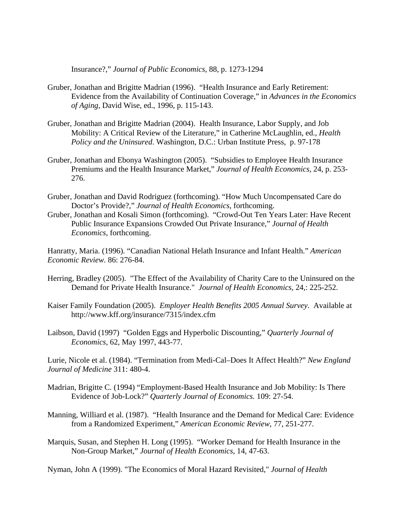Insurance?," *Journal of Public Economics*, 88, p. 1273-1294

- Gruber, Jonathan and Brigitte Madrian (1996). "Health Insurance and Early Retirement: Evidence from the Availability of Continuation Coverage," in *Advances in the Economics of Aging*, David Wise, ed., 1996, p. 115-143.
- Gruber, Jonathan and Brigitte Madrian (2004). Health Insurance, Labor Supply, and Job Mobility: A Critical Review of the Literature," in Catherine McLaughlin, ed., *Health Policy and the Uninsured*. Washington, D.C.: Urban Institute Press, p. 97-178
- Gruber, Jonathan and Ebonya Washington (2005). "Subsidies to Employee Health Insurance Premiums and the Health Insurance Market," *Journal of Health Economics,* 24, p. 253- 276.
- Gruber, Jonathan and David Rodriguez (forthcoming). "How Much Uncompensated Care do Doctor's Provide?," *Journal of Health Economics*, forthcoming.
- Gruber, Jonathan and Kosali Simon (forthcoming). "Crowd-Out Ten Years Later: Have Recent Public Insurance Expansions Crowded Out Private Insurance," *Journal of Health Economics*, forthcoming.

Hanratty, Maria. (1996). "Canadian National Helath Insurance and Infant Health." *American Economic Review.* 86: 276-84.

- Herring, Bradley (2005). "The Effect of the Availability of Charity Care to the Uninsured on the Demand for Private Health Insurance." *Journal of Health Economics*, 24,: 225-252.
- Kaiser Family Foundation (2005). *Employer Health Benefits 2005 Annual Survey*. Available at http://www.kff.org/insurance/7315/index.cfm
- Laibson, David (1997) "Golden Eggs and Hyperbolic Discounting," *Quarterly Journal of Economics*, 62, May 1997, 443-77.

Lurie, Nicole et al. (1984). "Termination from Medi-Cal–Does It Affect Health?" *New England Journal of Medicine* 311: 480-4.

- Madrian, Brigitte C. (1994) "Employment-Based Health Insurance and Job Mobility: Is There Evidence of Job-Lock?" *Quarterly Journal of Economics.* 109: 27-54.
- Manning, Williard et al. (1987). "Health Insurance and the Demand for Medical Care: Evidence from a Randomized Experiment," *American Economic Review*, 77, 251-277.
- Marquis, Susan, and Stephen H. Long (1995). "Worker Demand for Health Insurance in the Non-Group Market," *Journal of Health Economics*, 14, 47-63.

Nyman, John A (1999). "The Economics of Moral Hazard Revisited," *Journal of Health*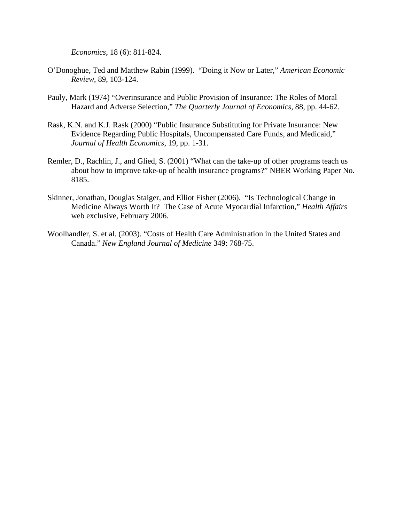*Economics*, 18 (6): 811-824.

- O'Donoghue, Ted and Matthew Rabin (1999). "Doing it Now or Later," *American Economic Review*, 89, 103-124.
- Pauly, Mark (1974) "Overinsurance and Public Provision of Insurance: The Roles of Moral Hazard and Adverse Selection," *The Quarterly Journal of Economics*, 88, pp. 44-62.
- Rask, K.N. and K.J. Rask (2000) "Public Insurance Substituting for Private Insurance: New Evidence Regarding Public Hospitals, Uncompensated Care Funds, and Medicaid," *Journal of Health Economics*, 19, pp. 1-31.
- Remler, D., Rachlin, J., and Glied, S. (2001) "What can the take-up of other programs teach us about how to improve take-up of health insurance programs?" NBER Working Paper No. 8185.
- Skinner, Jonathan, Douglas Staiger, and Elliot Fisher (2006). "Is Technological Change in Medicine Always Worth It? The Case of Acute Myocardial Infarction," *Health Affairs* web exclusive, February 2006.
- Woolhandler, S. et al. (2003). "Costs of Health Care Administration in the United States and Canada." *New England Journal of Medicine* 349: 768-75.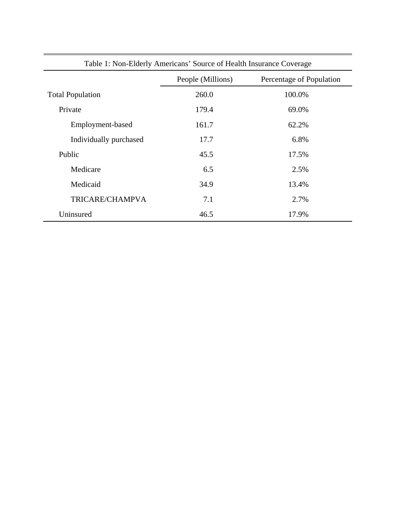| Table 1: Non-Elderly Americans' Source of Health Insurance Coverage |                   |                          |  |  |
|---------------------------------------------------------------------|-------------------|--------------------------|--|--|
|                                                                     | People (Millions) | Percentage of Population |  |  |
| <b>Total Population</b>                                             | 260.0             | 100.0%                   |  |  |
| Private                                                             | 179.4             | 69.0%                    |  |  |
| Employment-based                                                    | 161.7             | 62.2%                    |  |  |
| Individually purchased                                              | 17.7              | 6.8%                     |  |  |
| Public                                                              | 45.5              | 17.5%                    |  |  |
| Medicare                                                            | 6.5               | 2.5%                     |  |  |
| Medicaid                                                            | 34.9              | 13.4%                    |  |  |
| TRICARE/CHAMPVA                                                     | 7.1               | 2.7%                     |  |  |
| Uninsured                                                           | 46.5              | 17.9%                    |  |  |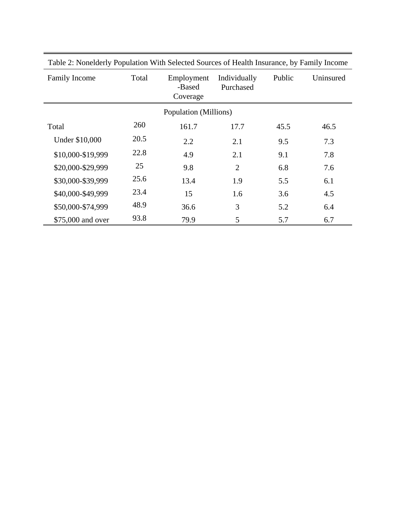| <b>Family Income</b>  | Total | Employment<br>-Based<br>Coverage | Individually<br>Purchased | Public | Uninsured |  |
|-----------------------|-------|----------------------------------|---------------------------|--------|-----------|--|
| Population (Millions) |       |                                  |                           |        |           |  |
| Total                 | 260   | 161.7                            | 17.7                      | 45.5   | 46.5      |  |
| Under \$10,000        | 20.5  | 2.2                              | 2.1                       | 9.5    | 7.3       |  |
| \$10,000-\$19,999     | 22.8  | 4.9                              | 2.1                       | 9.1    | 7.8       |  |
| \$20,000-\$29,999     | 25    | 9.8                              | $\overline{2}$            | 6.8    | 7.6       |  |
| \$30,000-\$39,999     | 25.6  | 13.4                             | 1.9                       | 5.5    | 6.1       |  |
| \$40,000-\$49,999     | 23.4  | 15                               | 1.6                       | 3.6    | 4.5       |  |
| \$50,000-\$74,999     | 48.9  | 36.6                             | 3                         | 5.2    | 6.4       |  |
| \$75,000 and over     | 93.8  | 79.9                             | 5                         | 5.7    | 6.7       |  |

Table 2: Nonelderly Population With Selected Sources of Health Insurance, by Family Income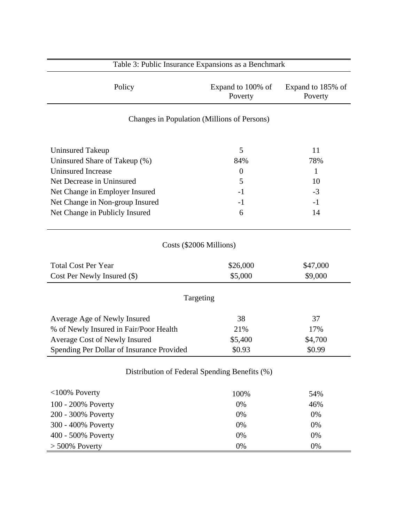| Table 3: Public Insurance Expansions as a Benchmark                                                                                                                                                                       |                                                      |                                                       |  |  |  |  |  |
|---------------------------------------------------------------------------------------------------------------------------------------------------------------------------------------------------------------------------|------------------------------------------------------|-------------------------------------------------------|--|--|--|--|--|
| Policy                                                                                                                                                                                                                    | Expand to 100% of<br>Poverty                         | Expand to 185% of<br>Poverty                          |  |  |  |  |  |
| Changes in Population (Millions of Persons)                                                                                                                                                                               |                                                      |                                                       |  |  |  |  |  |
| <b>Uninsured Takeup</b><br>Uninsured Share of Takeup (%)<br><b>Uninsured Increase</b><br>Net Decrease in Uninsured<br>Net Change in Employer Insured<br>Net Change in Non-group Insured<br>Net Change in Publicly Insured | 5<br>84%<br>$\overline{0}$<br>5<br>$-1$<br>$-1$<br>6 | 11<br>78%<br>$\mathbf{1}$<br>10<br>$-3$<br>$-1$<br>14 |  |  |  |  |  |
| Costs (\$2006 Millions)                                                                                                                                                                                                   |                                                      |                                                       |  |  |  |  |  |
| <b>Total Cost Per Year</b><br>Cost Per Newly Insured (\$)                                                                                                                                                                 | \$26,000<br>\$5,000                                  | \$47,000<br>\$9,000                                   |  |  |  |  |  |
| Targeting                                                                                                                                                                                                                 |                                                      |                                                       |  |  |  |  |  |
| Average Age of Newly Insured<br>% of Newly Insured in Fair/Poor Health<br>Average Cost of Newly Insured<br>Spending Per Dollar of Insurance Provided                                                                      | 38<br>21%<br>\$5,400<br>\$0.93                       | 37<br>17%<br>\$4,700<br>\$0.99                        |  |  |  |  |  |
| Distribution of Federal Spending Benefits (%)                                                                                                                                                                             |                                                      |                                                       |  |  |  |  |  |
| $<100\%$ Poverty<br>100 - 200% Poverty<br>200 - 300% Poverty<br>300 - 400% Poverty<br>400 - 500% Poverty                                                                                                                  | 100%<br>0%<br>0%<br>0%<br>0%                         | 54%<br>46%<br>0%<br>0%<br>0%                          |  |  |  |  |  |
| $> 500\%$ Poverty                                                                                                                                                                                                         | 0%                                                   | 0%                                                    |  |  |  |  |  |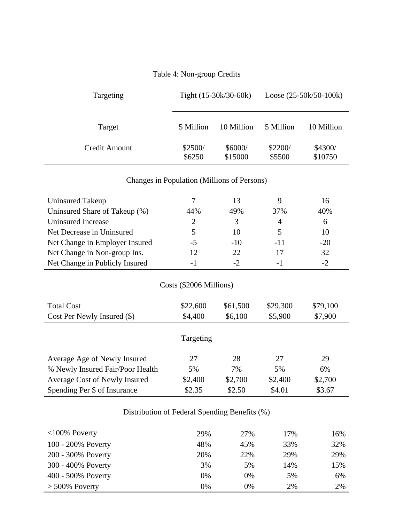| Table 4: Non-group Credits                  |                         |                    |                        |                    |  |  |
|---------------------------------------------|-------------------------|--------------------|------------------------|--------------------|--|--|
| Targeting                                   | Tight (15-30k/30-60k)   |                    | Loose (25-50k/50-100k) |                    |  |  |
| Target                                      | 5 Million               | 10 Million         | 5 Million              | 10 Million         |  |  |
| <b>Credit Amount</b>                        | \$2500/<br>\$6250       | \$6000/<br>\$15000 | \$2200/<br>\$5500      | \$4300/<br>\$10750 |  |  |
| Changes in Population (Millions of Persons) |                         |                    |                        |                    |  |  |
| <b>Uninsured Takeup</b>                     | $\tau$                  | 13                 | 9                      | 16                 |  |  |
| Uninsured Share of Takeup (%)               | 44%                     | 49%                | 37%                    | 40%                |  |  |
| <b>Uninsured Increase</b>                   | $\mathfrak{2}$          | 3                  | $\overline{4}$         | 6                  |  |  |
| Net Decrease in Uninsured                   | 5                       | 10                 | 5                      | 10                 |  |  |
| Net Change in Employer Insured              | $-5$                    | $-10$              | $-11$                  | $-20$              |  |  |
| Net Change in Non-group Ins.                | 12                      | 22                 | 17                     | 32                 |  |  |
| Net Change in Publicly Insured              | $-1$                    | $-2$               | $-1$                   | $-2$               |  |  |
|                                             | Costs (\$2006 Millions) |                    |                        |                    |  |  |
| <b>Total Cost</b>                           | \$22,600                | \$61,500           | \$29,300               | \$79,100           |  |  |
| Cost Per Newly Insured (\$)                 | \$4,400                 | \$6,100            | \$5,900                | \$7,900            |  |  |
|                                             | Targeting               |                    |                        |                    |  |  |
| Average Age of Newly Insured                | 27                      | 28                 | 27                     | 29                 |  |  |
| % Newly Insured Fair/Poor Health            | 5%                      | 7%                 | 5%                     | 6%                 |  |  |
| <b>Average Cost of Newly Insured</b>        | \$2,400                 | \$2,700            | \$2,400                | \$2,700            |  |  |
| Spending Per \$ of Insurance                | \$2.35                  | \$2.50             | \$4.01                 | \$3.67             |  |  |

## Distribution of Federal Spending Benefits (%)

| $<100\%$ Poverty   | 29% | 27% | 17% | 16% |
|--------------------|-----|-----|-----|-----|
| 100 - 200% Poverty | 48% | 45% | 33% | 32% |
| 200 - 300% Poverty | 20% | 22% | 29% | 29% |
| 300 - 400% Poverty | 3%  | 5%  | 14% | 15% |
| 400 - 500% Poverty | 0%  | 0%  | 5%  | 6%  |
| $> 500\%$ Poverty  | 0%  | 0%  | 2%  | 2%  |